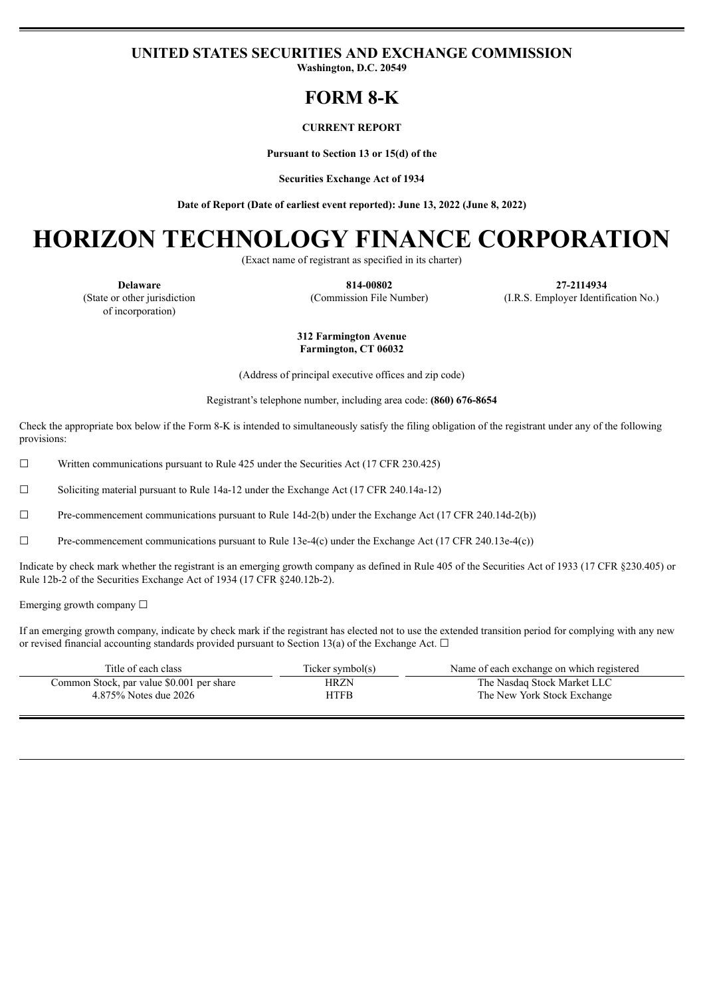## **UNITED STATES SECURITIES AND EXCHANGE COMMISSION**

**Washington, D.C. 20549**

# **FORM 8-K**

#### **CURRENT REPORT**

**Pursuant to Section 13 or 15(d) of the**

**Securities Exchange Act of 1934**

**Date of Report (Date of earliest event reported): June 13, 2022 (June 8, 2022)**

# **HORIZON TECHNOLOGY FINANCE CORPORATION**

(Exact name of registrant as specified in its charter)

(State or other jurisdiction of incorporation)

**Delaware 814-00802 27-2114934** (Commission File Number) (I.R.S. Employer Identification No.)

#### **312 Farmington Avenue Farmington, CT 06032**

(Address of principal executive offices and zip code)

Registrant's telephone number, including area code: **(860) 676-8654**

Check the appropriate box below if the Form 8-K is intended to simultaneously satisfy the filing obligation of the registrant under any of the following provisions:

 $\Box$  Written communications pursuant to Rule 425 under the Securities Act (17 CFR 230.425)

☐ Soliciting material pursuant to Rule 14a-12 under the Exchange Act (17 CFR 240.14a-12)

☐ Pre-commencement communications pursuant to Rule 14d-2(b) under the Exchange Act (17 CFR 240.14d-2(b))

 $\Box$  Pre-commencement communications pursuant to Rule 13e-4(c) under the Exchange Act (17 CFR 240.13e-4(c))

Indicate by check mark whether the registrant is an emerging growth company as defined in Rule 405 of the Securities Act of 1933 (17 CFR §230.405) or Rule 12b-2 of the Securities Exchange Act of 1934 (17 CFR §240.12b-2).

Emerging growth company ☐

If an emerging growth company, indicate by check mark if the registrant has elected not to use the extended transition period for complying with any new or revised financial accounting standards provided pursuant to Section 13(a) of the Exchange Act.  $\Box$ 

| Title of each class                       | Ticker symbol(s) | Name of each exchange on which registered |
|-------------------------------------------|------------------|-------------------------------------------|
| Common Stock, par value \$0.001 per share | HRZN             | The Nasdaq Stock Market LLC               |
| 4.875% Notes due 2026                     | HTFB             | The New York Stock Exchange               |
|                                           |                  |                                           |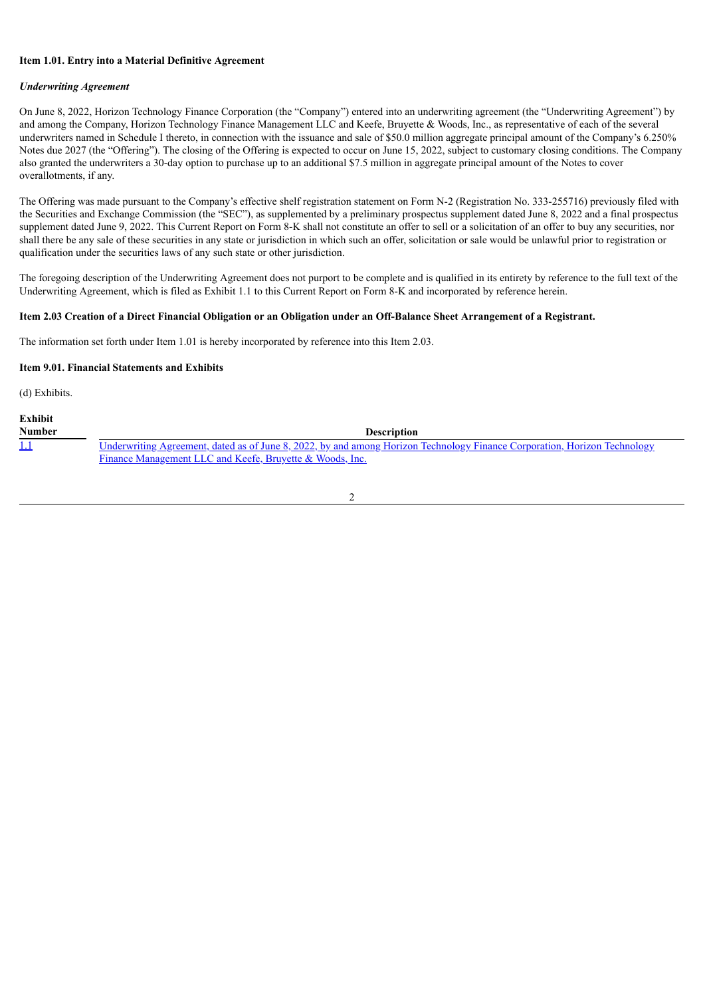#### **Item 1.01. Entry into a Material Definitive Agreement**

#### *Underwriting Agreement*

On June 8, 2022, Horizon Technology Finance Corporation (the "Company") entered into an underwriting agreement (the "Underwriting Agreement") by and among the Company, Horizon Technology Finance Management LLC and Keefe, Bruyette & Woods, Inc., as representative of each of the several underwriters named in Schedule I thereto, in connection with the issuance and sale of \$50.0 million aggregate principal amount of the Company's 6.250% Notes due 2027 (the "Offering"). The closing of the Offering is expected to occur on June 15, 2022, subject to customary closing conditions. The Company also granted the underwriters a 30-day option to purchase up to an additional \$7.5 million in aggregate principal amount of the Notes to cover overallotments, if any.

The Offering was made pursuant to the Company's effective shelf registration statement on Form N-2 (Registration No. 333-255716) previously filed with the Securities and Exchange Commission (the "SEC"), as supplemented by a preliminary prospectus supplement dated June 8, 2022 and a final prospectus supplement dated June 9, 2022. This Current Report on Form 8-K shall not constitute an offer to sell or a solicitation of an offer to buy any securities, nor shall there be any sale of these securities in any state or jurisdiction in which such an offer, solicitation or sale would be unlawful prior to registration or qualification under the securities laws of any such state or other jurisdiction.

The foregoing description of the Underwriting Agreement does not purport to be complete and is qualified in its entirety by reference to the full text of the Underwriting Agreement, which is filed as Exhibit 1.1 to this Current Report on Form 8-K and incorporated by reference herein.

#### Item 2.03 Creation of a Direct Financial Obligation or an Obligation under an Off-Balance Sheet Arrangement of a Registrant.

The information set forth under Item 1.01 is hereby incorporated by reference into this Item 2.03.

#### **Item 9.01. Financial Statements and Exhibits**

(d) Exhibits.

| <b>Exhibit</b> |                                                                                                                                  |
|----------------|----------------------------------------------------------------------------------------------------------------------------------|
| <b>Number</b>  | <b>Description</b>                                                                                                               |
| <u> 1.1</u>    | <u>Underwriting Agreement, dated as of June 8, 2022, by and among Horizon Technology Finance Corporation, Horizon Technology</u> |
|                | Finance Management LLC and Keefe, Bruvette & Woods, Inc.                                                                         |

| ۰. |
|----|
|    |
|    |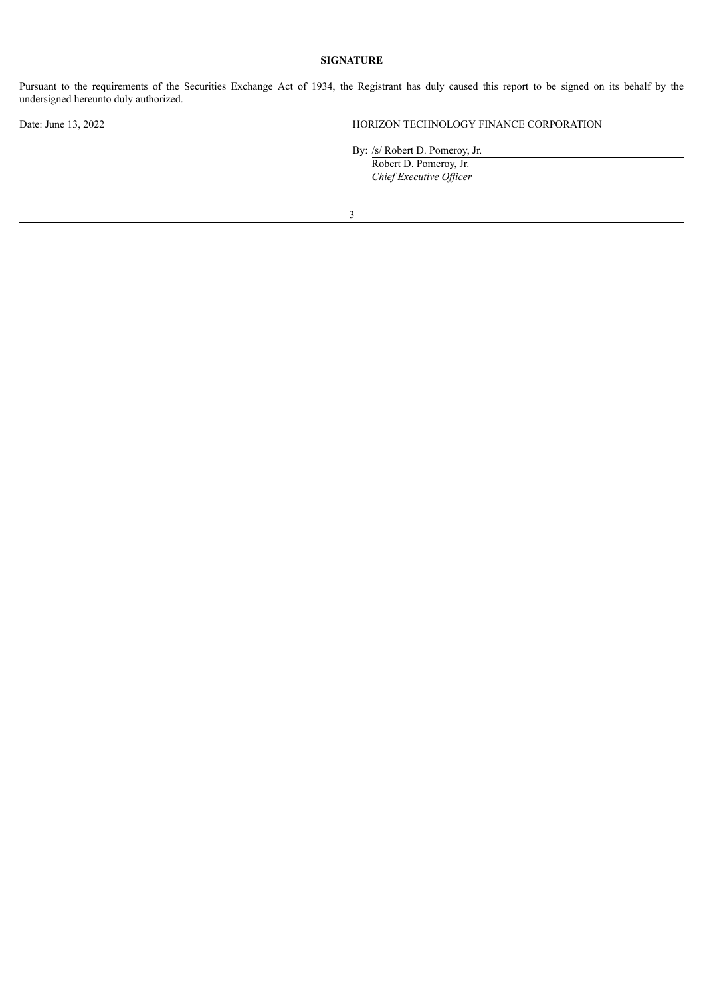## **SIGNATURE**

Pursuant to the requirements of the Securities Exchange Act of 1934, the Registrant has duly caused this report to be signed on its behalf by the undersigned hereunto duly authorized.

Date: June 13, 2022 HORIZON TECHNOLOGY FINANCE CORPORATION

By: /s/ Robert D. Pomeroy, Jr.

Robert D. Pomeroy, Jr. *Chief Executive Of icer*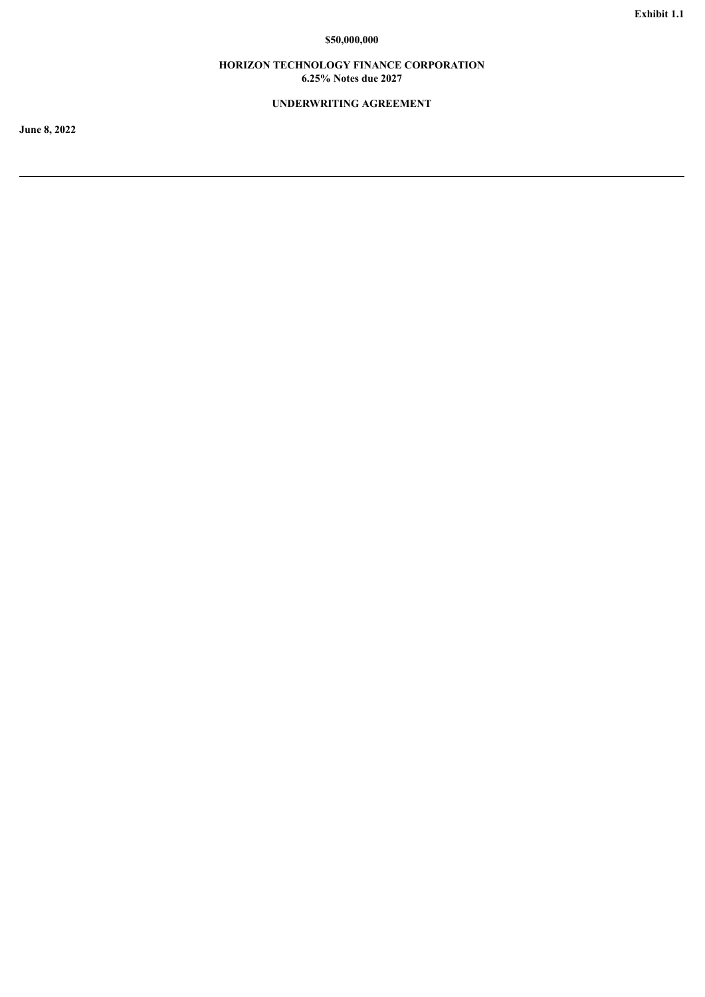## **\$50,000,000**

## **HORIZON TECHNOLOGY FINANCE CORPORATION 6.25% Notes due 2027**

## **UNDERWRITING AGREEMENT**

<span id="page-3-0"></span>**June 8, 2022**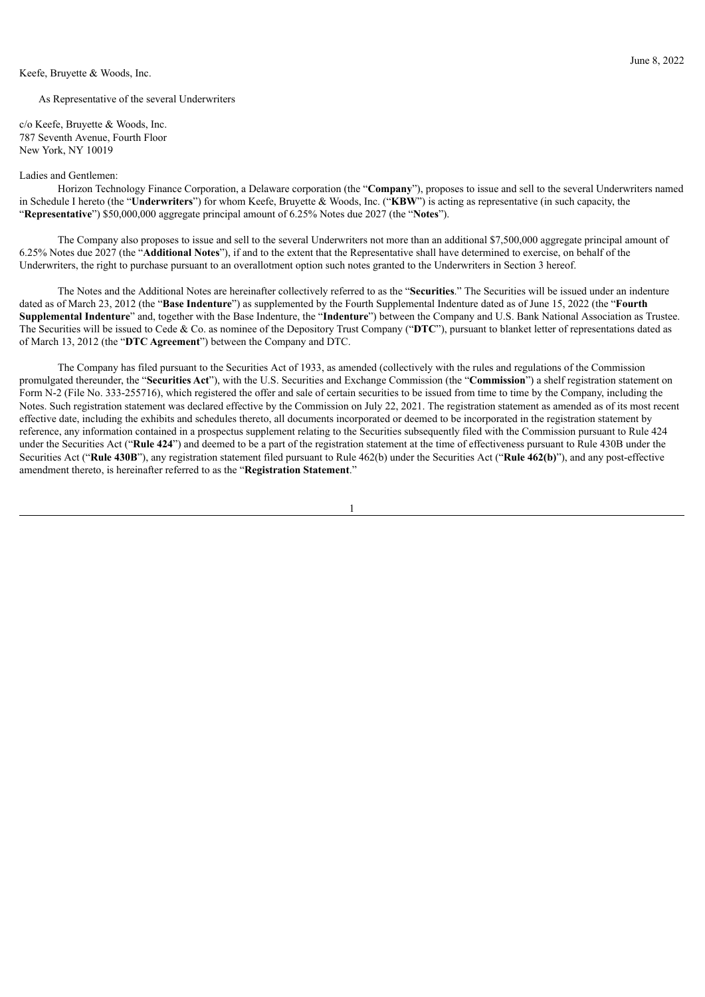#### Keefe, Bruyette & Woods, Inc.

As Representative of the several Underwriters

c/o Keefe, Bruyette & Woods, Inc. 787 Seventh Avenue, Fourth Floor New York, NY 10019

#### Ladies and Gentlemen:

Horizon Technology Finance Corporation, a Delaware corporation (the "**Company**"), proposes to issue and sell to the several Underwriters named in Schedule I hereto (the "**Underwriters**") for whom Keefe, Bruyette & Woods, Inc. ("**KBW**") is acting as representative (in such capacity, the "**Representative**") \$50,000,000 aggregate principal amount of 6.25% Notes due 2027 (the "**Notes**").

The Company also proposes to issue and sell to the several Underwriters not more than an additional \$7,500,000 aggregate principal amount of 6.25% Notes due 2027 (the "**Additional Notes**"), if and to the extent that the Representative shall have determined to exercise, on behalf of the Underwriters, the right to purchase pursuant to an overallotment option such notes granted to the Underwriters in Section 3 hereof.

The Notes and the Additional Notes are hereinafter collectively referred to as the "**Securities**." The Securities will be issued under an indenture dated as of March 23, 2012 (the "**Base Indenture**") as supplemented by the Fourth Supplemental Indenture dated as of June 15, 2022 (the "**Fourth Supplemental Indenture**" and, together with the Base Indenture, the "**Indenture**") between the Company and U.S. Bank National Association as Trustee. The Securities will be issued to Cede & Co. as nominee of the Depository Trust Company ("**DTC**"), pursuant to blanket letter of representations dated as of March 13, 2012 (the "**DTC Agreement**") between the Company and DTC.

The Company has filed pursuant to the Securities Act of 1933, as amended (collectively with the rules and regulations of the Commission promulgated thereunder, the "**Securities Act**"), with the U.S. Securities and Exchange Commission (the "**Commission**") a shelf registration statement on Form N-2 (File No. 333-255716), which registered the offer and sale of certain securities to be issued from time to time by the Company, including the Notes. Such registration statement was declared effective by the Commission on July 22, 2021. The registration statement as amended as of its most recent effective date, including the exhibits and schedules thereto, all documents incorporated or deemed to be incorporated in the registration statement by reference, any information contained in a prospectus supplement relating to the Securities subsequently filed with the Commission pursuant to Rule 424 under the Securities Act ("**Rule 424**") and deemed to be a part of the registration statement at the time of effectiveness pursuant to Rule 430B under the Securities Act ("**Rule 430B**"), any registration statement filed pursuant to Rule 462(b) under the Securities Act ("**Rule 462(b)**"), and any post-effective amendment thereto, is hereinafter referred to as the "**Registration Statement**."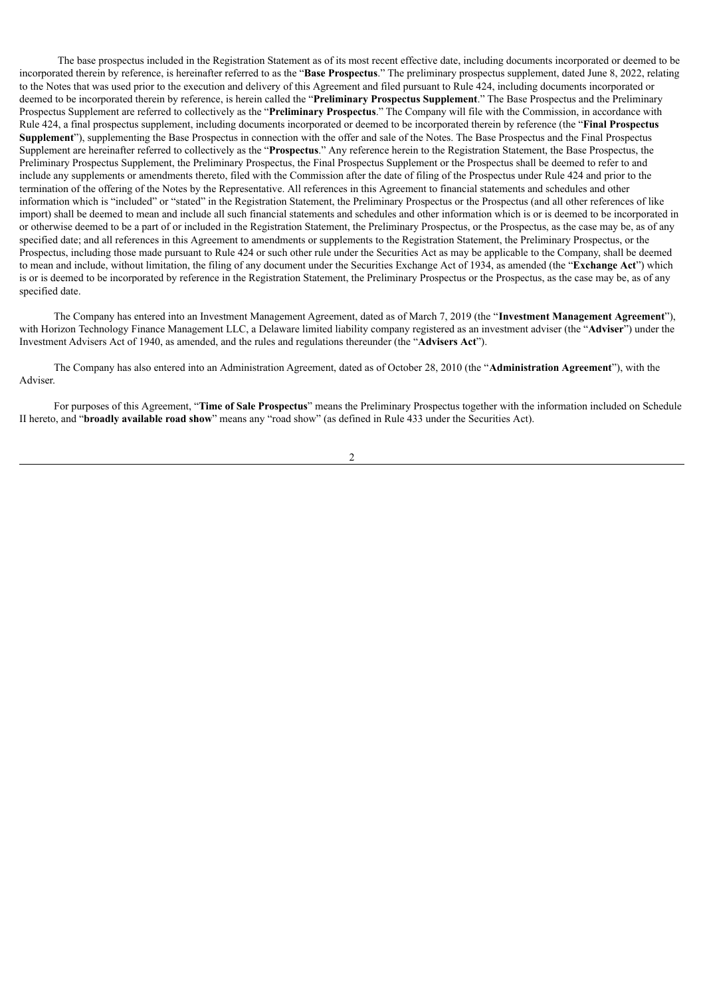The base prospectus included in the Registration Statement as of its most recent effective date, including documents incorporated or deemed to be incorporated therein by reference, is hereinafter referred to as the "**Base Prospectus**." The preliminary prospectus supplement, dated June 8, 2022, relating to the Notes that was used prior to the execution and delivery of this Agreement and filed pursuant to Rule 424, including documents incorporated or deemed to be incorporated therein by reference, is herein called the "**Preliminary Prospectus Supplement**." The Base Prospectus and the Preliminary Prospectus Supplement are referred to collectively as the "**Preliminary Prospectus**." The Company will file with the Commission, in accordance with Rule 424, a final prospectus supplement, including documents incorporated or deemed to be incorporated therein by reference (the "**Final Prospectus Supplement**"), supplementing the Base Prospectus in connection with the offer and sale of the Notes. The Base Prospectus and the Final Prospectus Supplement are hereinafter referred to collectively as the "**Prospectus**." Any reference herein to the Registration Statement, the Base Prospectus, the Preliminary Prospectus Supplement, the Preliminary Prospectus, the Final Prospectus Supplement or the Prospectus shall be deemed to refer to and include any supplements or amendments thereto, filed with the Commission after the date of filing of the Prospectus under Rule 424 and prior to the termination of the offering of the Notes by the Representative. All references in this Agreement to financial statements and schedules and other information which is "included" or "stated" in the Registration Statement, the Preliminary Prospectus or the Prospectus (and all other references of like import) shall be deemed to mean and include all such financial statements and schedules and other information which is or is deemed to be incorporated in or otherwise deemed to be a part of or included in the Registration Statement, the Preliminary Prospectus, or the Prospectus, as the case may be, as of any specified date; and all references in this Agreement to amendments or supplements to the Registration Statement, the Preliminary Prospectus, or the Prospectus, including those made pursuant to Rule 424 or such other rule under the Securities Act as may be applicable to the Company, shall be deemed to mean and include, without limitation, the filing of any document under the Securities Exchange Act of 1934, as amended (the "**Exchange Act**") which is or is deemed to be incorporated by reference in the Registration Statement, the Preliminary Prospectus or the Prospectus, as the case may be, as of any specified date.

The Company has entered into an Investment Management Agreement, dated as of March 7, 2019 (the "**Investment Management Agreement**"), with Horizon Technology Finance Management LLC, a Delaware limited liability company registered as an investment adviser (the "**Adviser**") under the Investment Advisers Act of 1940, as amended, and the rules and regulations thereunder (the "**Advisers Act**").

The Company has also entered into an Administration Agreement, dated as of October 28, 2010 (the "**Administration Agreement**"), with the Adviser.

For purposes of this Agreement, "**Time of Sale Prospectus**" means the Preliminary Prospectus together with the information included on Schedule II hereto, and "**broadly available road show**" means any "road show" (as defined in Rule 433 under the Securities Act).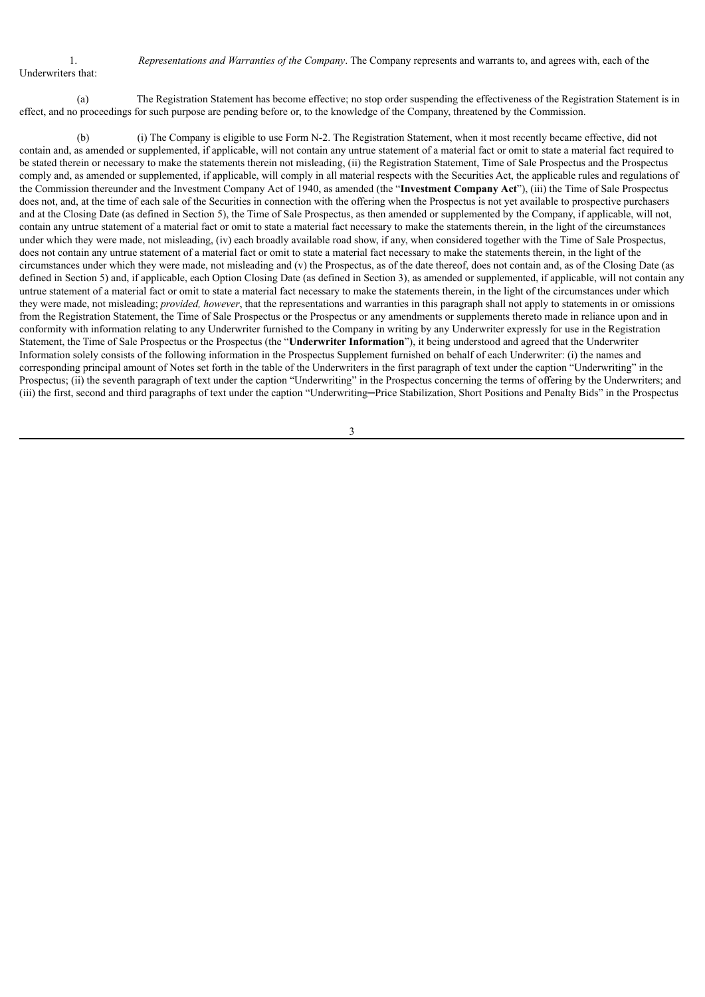1. *Representations and Warranties of the Company*. The Company represents and warrants to, and agrees with, each of the

Underwriters that:

(a) The Registration Statement has become effective; no stop order suspending the effectiveness of the Registration Statement is in effect, and no proceedings for such purpose are pending before or, to the knowledge of the Company, threatened by the Commission.

(b) (i) The Company is eligible to use Form N-2. The Registration Statement, when it most recently became effective, did not contain and, as amended or supplemented, if applicable, will not contain any untrue statement of a material fact or omit to state a material fact required to be stated therein or necessary to make the statements therein not misleading, (ii) the Registration Statement, Time of Sale Prospectus and the Prospectus comply and, as amended or supplemented, if applicable, will comply in all material respects with the Securities Act, the applicable rules and regulations of the Commission thereunder and the Investment Company Act of 1940, as amended (the "**Investment Company Act**"), (iii) the Time of Sale Prospectus does not, and, at the time of each sale of the Securities in connection with the offering when the Prospectus is not yet available to prospective purchasers and at the Closing Date (as defined in Section 5), the Time of Sale Prospectus, as then amended or supplemented by the Company, if applicable, will not, contain any untrue statement of a material fact or omit to state a material fact necessary to make the statements therein, in the light of the circumstances under which they were made, not misleading, (iv) each broadly available road show, if any, when considered together with the Time of Sale Prospectus, does not contain any untrue statement of a material fact or omit to state a material fact necessary to make the statements therein, in the light of the circumstances under which they were made, not misleading and (v) the Prospectus, as of the date thereof, does not contain and, as of the Closing Date (as defined in Section 5) and, if applicable, each Option Closing Date (as defined in Section 3), as amended or supplemented, if applicable, will not contain any untrue statement of a material fact or omit to state a material fact necessary to make the statements therein, in the light of the circumstances under which they were made, not misleading; *provided, however*, that the representations and warranties in this paragraph shall not apply to statements in or omissions from the Registration Statement, the Time of Sale Prospectus or the Prospectus or any amendments or supplements thereto made in reliance upon and in conformity with information relating to any Underwriter furnished to the Company in writing by any Underwriter expressly for use in the Registration Statement, the Time of Sale Prospectus or the Prospectus (the "**Underwriter Information**"), it being understood and agreed that the Underwriter Information solely consists of the following information in the Prospectus Supplement furnished on behalf of each Underwriter: (i) the names and corresponding principal amount of Notes set forth in the table of the Underwriters in the first paragraph of text under the caption "Underwriting" in the Prospectus; (ii) the seventh paragraph of text under the caption "Underwriting" in the Prospectus concerning the terms of offering by the Underwriters; and (iii) the first, second and third paragraphs of text under the caption "Underwriting—Price Stabilization, Short Positions and Penalty Bids" in the Prospectus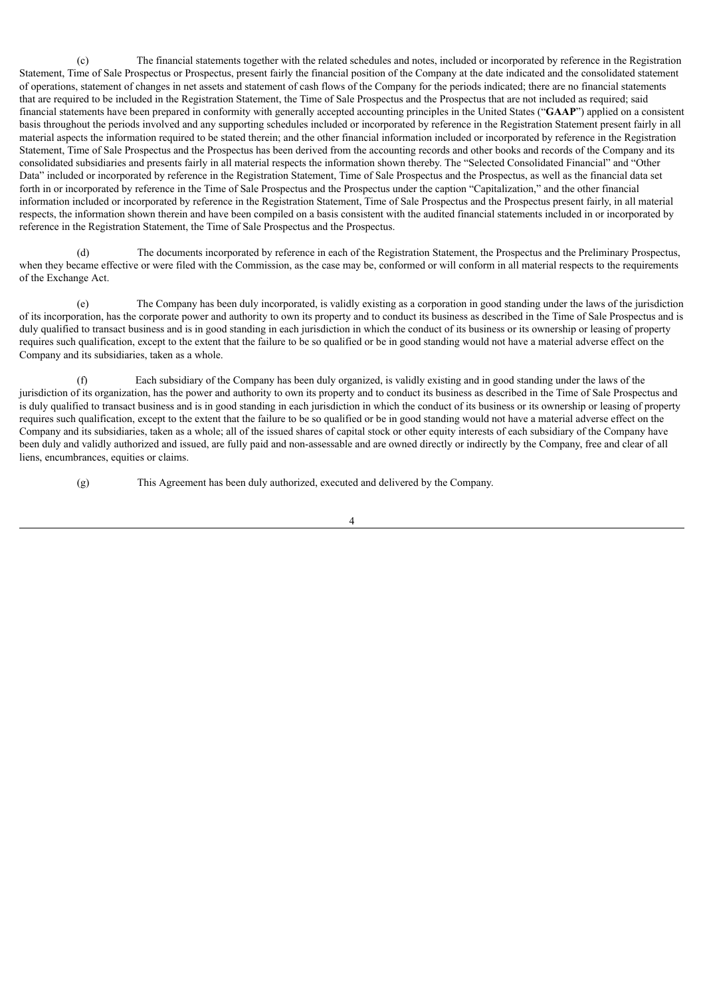(c) The financial statements together with the related schedules and notes, included or incorporated by reference in the Registration Statement, Time of Sale Prospectus or Prospectus, present fairly the financial position of the Company at the date indicated and the consolidated statement of operations, statement of changes in net assets and statement of cash flows of the Company for the periods indicated; there are no financial statements that are required to be included in the Registration Statement, the Time of Sale Prospectus and the Prospectus that are not included as required; said financial statements have been prepared in conformity with generally accepted accounting principles in the United States ("**GAAP**") applied on a consistent basis throughout the periods involved and any supporting schedules included or incorporated by reference in the Registration Statement present fairly in all material aspects the information required to be stated therein; and the other financial information included or incorporated by reference in the Registration Statement, Time of Sale Prospectus and the Prospectus has been derived from the accounting records and other books and records of the Company and its consolidated subsidiaries and presents fairly in all material respects the information shown thereby. The "Selected Consolidated Financial" and "Other Data" included or incorporated by reference in the Registration Statement, Time of Sale Prospectus and the Prospectus, as well as the financial data set forth in or incorporated by reference in the Time of Sale Prospectus and the Prospectus under the caption "Capitalization," and the other financial information included or incorporated by reference in the Registration Statement, Time of Sale Prospectus and the Prospectus present fairly, in all material respects, the information shown therein and have been compiled on a basis consistent with the audited financial statements included in or incorporated by reference in the Registration Statement, the Time of Sale Prospectus and the Prospectus.

The documents incorporated by reference in each of the Registration Statement, the Prospectus and the Preliminary Prospectus, when they became effective or were filed with the Commission, as the case may be, conformed or will conform in all material respects to the requirements of the Exchange Act.

(e) The Company has been duly incorporated, is validly existing as a corporation in good standing under the laws of the jurisdiction of its incorporation, has the corporate power and authority to own its property and to conduct its business as described in the Time of Sale Prospectus and is duly qualified to transact business and is in good standing in each jurisdiction in which the conduct of its business or its ownership or leasing of property requires such qualification, except to the extent that the failure to be so qualified or be in good standing would not have a material adverse effect on the Company and its subsidiaries, taken as a whole.

(f) Each subsidiary of the Company has been duly organized, is validly existing and in good standing under the laws of the jurisdiction of its organization, has the power and authority to own its property and to conduct its business as described in the Time of Sale Prospectus and is duly qualified to transact business and is in good standing in each jurisdiction in which the conduct of its business or its ownership or leasing of property requires such qualification, except to the extent that the failure to be so qualified or be in good standing would not have a material adverse effect on the Company and its subsidiaries, taken as a whole; all of the issued shares of capital stock or other equity interests of each subsidiary of the Company have been duly and validly authorized and issued, are fully paid and non-assessable and are owned directly or indirectly by the Company, free and clear of all liens, encumbrances, equities or claims.

(g) This Agreement has been duly authorized, executed and delivered by the Company.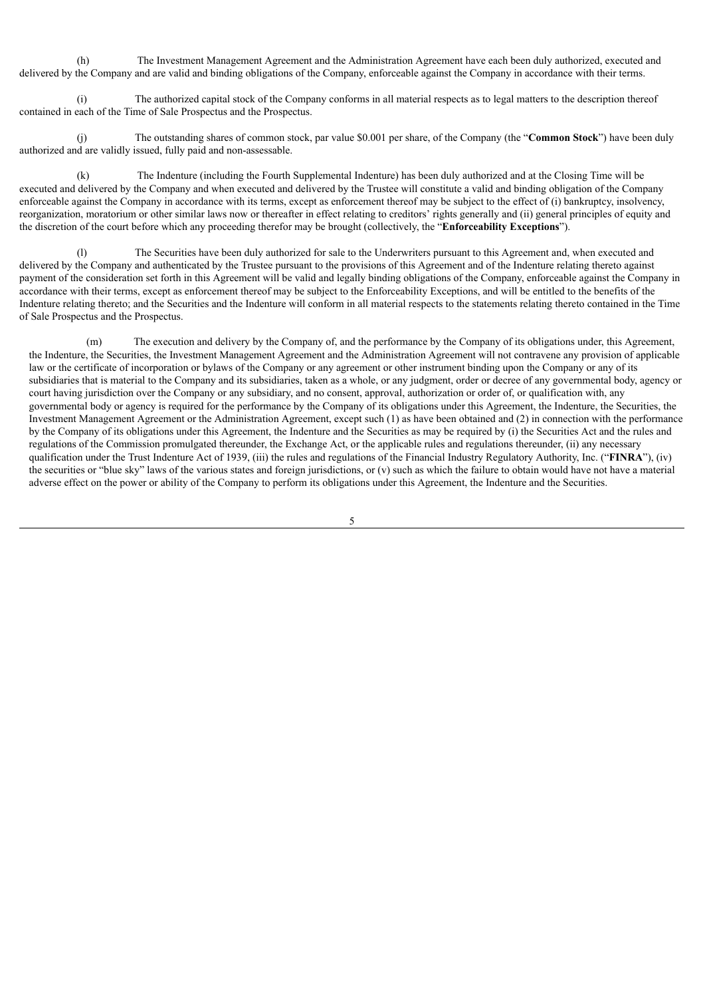(h) The Investment Management Agreement and the Administration Agreement have each been duly authorized, executed and delivered by the Company and are valid and binding obligations of the Company, enforceable against the Company in accordance with their terms.

The authorized capital stock of the Company conforms in all material respects as to legal matters to the description thereof contained in each of the Time of Sale Prospectus and the Prospectus.

(j) The outstanding shares of common stock, par value \$0.001 per share, of the Company (the "**Common Stock**") have been duly authorized and are validly issued, fully paid and non-assessable.

The Indenture (including the Fourth Supplemental Indenture) has been duly authorized and at the Closing Time will be executed and delivered by the Company and when executed and delivered by the Trustee will constitute a valid and binding obligation of the Company enforceable against the Company in accordance with its terms, except as enforcement thereof may be subject to the effect of (i) bankruptcy, insolvency, reorganization, moratorium or other similar laws now or thereafter in effect relating to creditors' rights generally and (ii) general principles of equity and the discretion of the court before which any proceeding therefor may be brought (collectively, the "**Enforceability Exceptions**").

The Securities have been duly authorized for sale to the Underwriters pursuant to this Agreement and, when executed and delivered by the Company and authenticated by the Trustee pursuant to the provisions of this Agreement and of the Indenture relating thereto against payment of the consideration set forth in this Agreement will be valid and legally binding obligations of the Company, enforceable against the Company in accordance with their terms, except as enforcement thereof may be subject to the Enforceability Exceptions, and will be entitled to the benefits of the Indenture relating thereto; and the Securities and the Indenture will conform in all material respects to the statements relating thereto contained in the Time of Sale Prospectus and the Prospectus.

(m) The execution and delivery by the Company of, and the performance by the Company of its obligations under, this Agreement, the Indenture, the Securities, the Investment Management Agreement and the Administration Agreement will not contravene any provision of applicable law or the certificate of incorporation or bylaws of the Company or any agreement or other instrument binding upon the Company or any of its subsidiaries that is material to the Company and its subsidiaries, taken as a whole, or any judgment, order or decree of any governmental body, agency or court having jurisdiction over the Company or any subsidiary, and no consent, approval, authorization or order of, or qualification with, any governmental body or agency is required for the performance by the Company of its obligations under this Agreement, the Indenture, the Securities, the Investment Management Agreement or the Administration Agreement, except such (1) as have been obtained and (2) in connection with the performance by the Company of its obligations under this Agreement, the Indenture and the Securities as may be required by (i) the Securities Act and the rules and regulations of the Commission promulgated thereunder, the Exchange Act, or the applicable rules and regulations thereunder, (ii) any necessary qualification under the Trust Indenture Act of 1939, (iii) the rules and regulations of the Financial Industry Regulatory Authority, Inc. ("**FINRA**"), (iv) the securities or "blue sky" laws of the various states and foreign jurisdictions, or  $(v)$  such as which the failure to obtain would have not have a material adverse effect on the power or ability of the Company to perform its obligations under this Agreement, the Indenture and the Securities.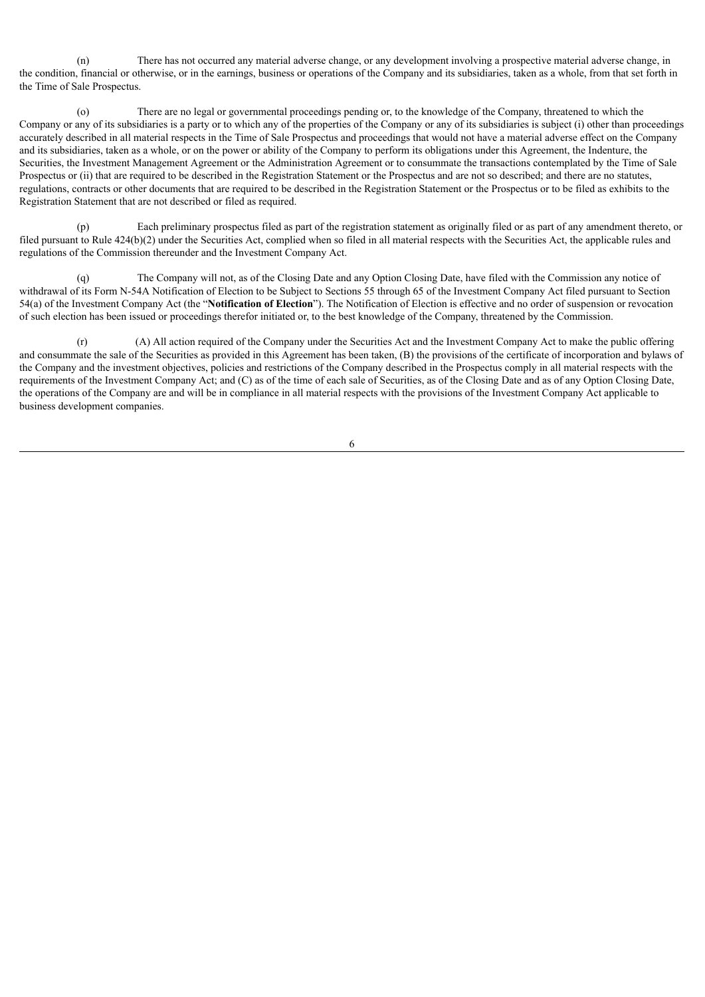(n) There has not occurred any material adverse change, or any development involving a prospective material adverse change, in the condition, financial or otherwise, or in the earnings, business or operations of the Company and its subsidiaries, taken as a whole, from that set forth in the Time of Sale Prospectus.

(o) There are no legal or governmental proceedings pending or, to the knowledge of the Company, threatened to which the Company or any of its subsidiaries is a party or to which any of the properties of the Company or any of its subsidiaries is subject (i) other than proceedings accurately described in all material respects in the Time of Sale Prospectus and proceedings that would not have a material adverse effect on the Company and its subsidiaries, taken as a whole, or on the power or ability of the Company to perform its obligations under this Agreement, the Indenture, the Securities, the Investment Management Agreement or the Administration Agreement or to consummate the transactions contemplated by the Time of Sale Prospectus or (ii) that are required to be described in the Registration Statement or the Prospectus and are not so described; and there are no statutes, regulations, contracts or other documents that are required to be described in the Registration Statement or the Prospectus or to be filed as exhibits to the Registration Statement that are not described or filed as required.

(p) Each preliminary prospectus filed as part of the registration statement as originally filed or as part of any amendment thereto, or filed pursuant to Rule 424(b)(2) under the Securities Act, complied when so filed in all material respects with the Securities Act, the applicable rules and regulations of the Commission thereunder and the Investment Company Act.

(q) The Company will not, as of the Closing Date and any Option Closing Date, have filed with the Commission any notice of withdrawal of its Form N-54A Notification of Election to be Subject to Sections 55 through 65 of the Investment Company Act filed pursuant to Section 54(a) of the Investment Company Act (the "**Notification of Election**"). The Notification of Election is effective and no order of suspension or revocation of such election has been issued or proceedings therefor initiated or, to the best knowledge of the Company, threatened by the Commission.

(A) All action required of the Company under the Securities Act and the Investment Company Act to make the public offering and consummate the sale of the Securities as provided in this Agreement has been taken, (B) the provisions of the certificate of incorporation and bylaws of the Company and the investment objectives, policies and restrictions of the Company described in the Prospectus comply in all material respects with the requirements of the Investment Company Act; and (C) as of the time of each sale of Securities, as of the Closing Date and as of any Option Closing Date, the operations of the Company are and will be in compliance in all material respects with the provisions of the Investment Company Act applicable to business development companies.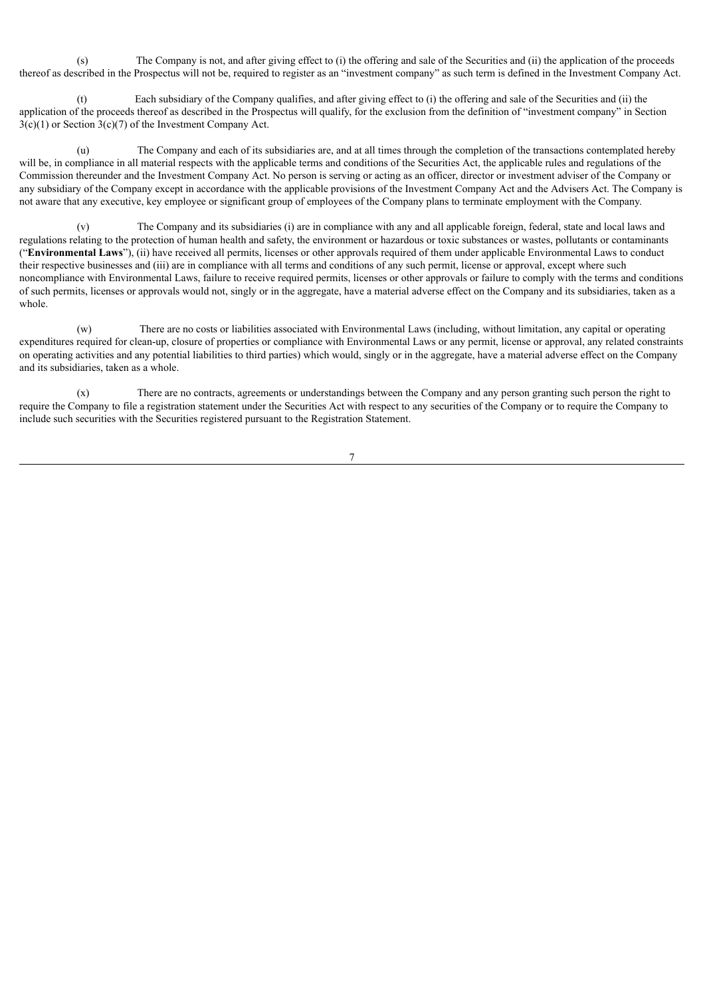(s) The Company is not, and after giving effect to (i) the offering and sale of the Securities and (ii) the application of the proceeds thereof as described in the Prospectus will not be, required to register as an "investment company" as such term is defined in the Investment Company Act.

Each subsidiary of the Company qualifies, and after giving effect to (i) the offering and sale of the Securities and (ii) the application of the proceeds thereof as described in the Prospectus will qualify, for the exclusion from the definition of "investment company" in Section  $3(c)(1)$  or Section  $3(c)(7)$  of the Investment Company Act.

(u) The Company and each of its subsidiaries are, and at all times through the completion of the transactions contemplated hereby will be, in compliance in all material respects with the applicable terms and conditions of the Securities Act, the applicable rules and regulations of the Commission thereunder and the Investment Company Act. No person is serving or acting as an officer, director or investment adviser of the Company or any subsidiary of the Company except in accordance with the applicable provisions of the Investment Company Act and the Advisers Act. The Company is not aware that any executive, key employee or significant group of employees of the Company plans to terminate employment with the Company.

(v) The Company and its subsidiaries (i) are in compliance with any and all applicable foreign, federal, state and local laws and regulations relating to the protection of human health and safety, the environment or hazardous or toxic substances or wastes, pollutants or contaminants ("**Environmental Laws**"), (ii) have received all permits, licenses or other approvals required of them under applicable Environmental Laws to conduct their respective businesses and (iii) are in compliance with all terms and conditions of any such permit, license or approval, except where such noncompliance with Environmental Laws, failure to receive required permits, licenses or other approvals or failure to comply with the terms and conditions of such permits, licenses or approvals would not, singly or in the aggregate, have a material adverse effect on the Company and its subsidiaries, taken as a whole.

(w) There are no costs or liabilities associated with Environmental Laws (including, without limitation, any capital or operating expenditures required for clean-up, closure of properties or compliance with Environmental Laws or any permit, license or approval, any related constraints on operating activities and any potential liabilities to third parties) which would, singly or in the aggregate, have a material adverse effect on the Company and its subsidiaries, taken as a whole.

(x) There are no contracts, agreements or understandings between the Company and any person granting such person the right to require the Company to file a registration statement under the Securities Act with respect to any securities of the Company or to require the Company to include such securities with the Securities registered pursuant to the Registration Statement.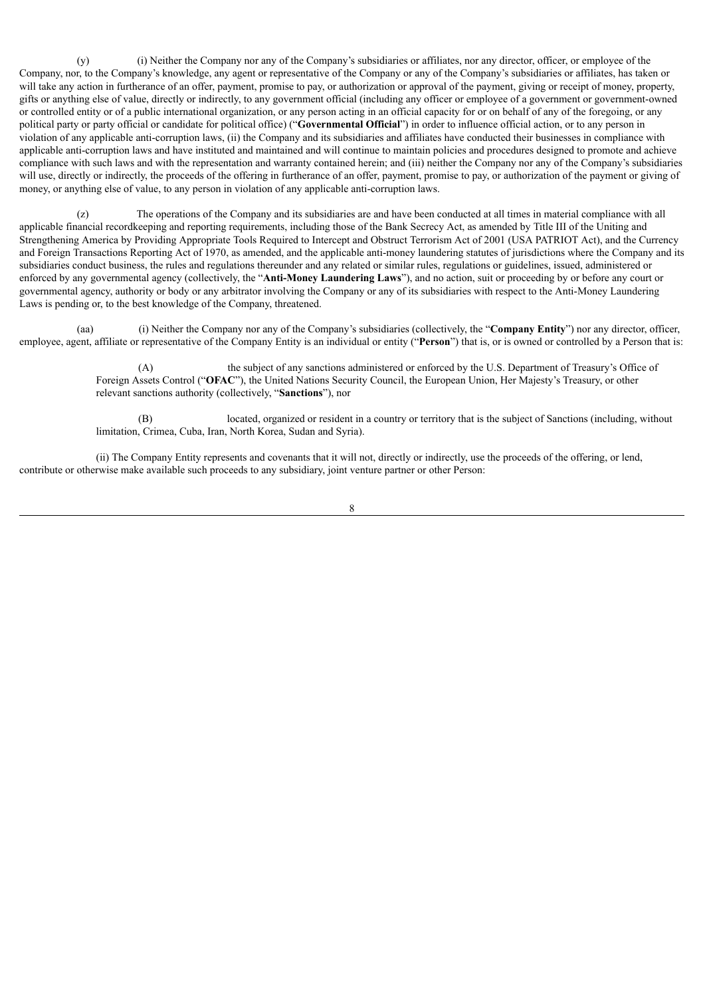(y) (i) Neither the Company nor any of the Company's subsidiaries or affiliates, nor any director, officer, or employee of the Company, nor, to the Company's knowledge, any agent or representative of the Company or any of the Company's subsidiaries or affiliates, has taken or will take any action in furtherance of an offer, payment, promise to pay, or authorization or approval of the payment, giving or receipt of money, property, gifts or anything else of value, directly or indirectly, to any government official (including any officer or employee of a government or government-owned or controlled entity or of a public international organization, or any person acting in an official capacity for or on behalf of any of the foregoing, or any political party or party official or candidate for political office) ("**Governmental Official**") in order to influence official action, or to any person in violation of any applicable anti-corruption laws, (ii) the Company and its subsidiaries and affiliates have conducted their businesses in compliance with applicable anti-corruption laws and have instituted and maintained and will continue to maintain policies and procedures designed to promote and achieve compliance with such laws and with the representation and warranty contained herein; and (iii) neither the Company nor any of the Company's subsidiaries will use, directly or indirectly, the proceeds of the offering in furtherance of an offer, payment, promise to pay, or authorization of the payment or giving of money, or anything else of value, to any person in violation of any applicable anti-corruption laws.

(z) The operations of the Company and its subsidiaries are and have been conducted at all times in material compliance with all applicable financial recordkeeping and reporting requirements, including those of the Bank Secrecy Act, as amended by Title III of the Uniting and Strengthening America by Providing Appropriate Tools Required to Intercept and Obstruct Terrorism Act of 2001 (USA PATRIOT Act), and the Currency and Foreign Transactions Reporting Act of 1970, as amended, and the applicable anti-money laundering statutes of jurisdictions where the Company and its subsidiaries conduct business, the rules and regulations thereunder and any related or similar rules, regulations or guidelines, issued, administered or enforced by any governmental agency (collectively, the "**Anti-Money Laundering Laws**"), and no action, suit or proceeding by or before any court or governmental agency, authority or body or any arbitrator involving the Company or any of its subsidiaries with respect to the Anti-Money Laundering Laws is pending or, to the best knowledge of the Company, threatened.

(aa) (i) Neither the Company nor any of the Company's subsidiaries (collectively, the "**Company Entity**") nor any director, officer, employee, agent, affiliate or representative of the Company Entity is an individual or entity ("**Person**") that is, or is owned or controlled by a Person that is:

> (A) the subject of any sanctions administered or enforced by the U.S. Department of Treasury's Office of Foreign Assets Control ("**OFAC**"), the United Nations Security Council, the European Union, Her Majesty's Treasury, or other relevant sanctions authority (collectively, "**Sanctions**"), nor

located, organized or resident in a country or territory that is the subject of Sanctions (including, without limitation, Crimea, Cuba, Iran, North Korea, Sudan and Syria).

(ii) The Company Entity represents and covenants that it will not, directly or indirectly, use the proceeds of the offering, or lend, contribute or otherwise make available such proceeds to any subsidiary, joint venture partner or other Person: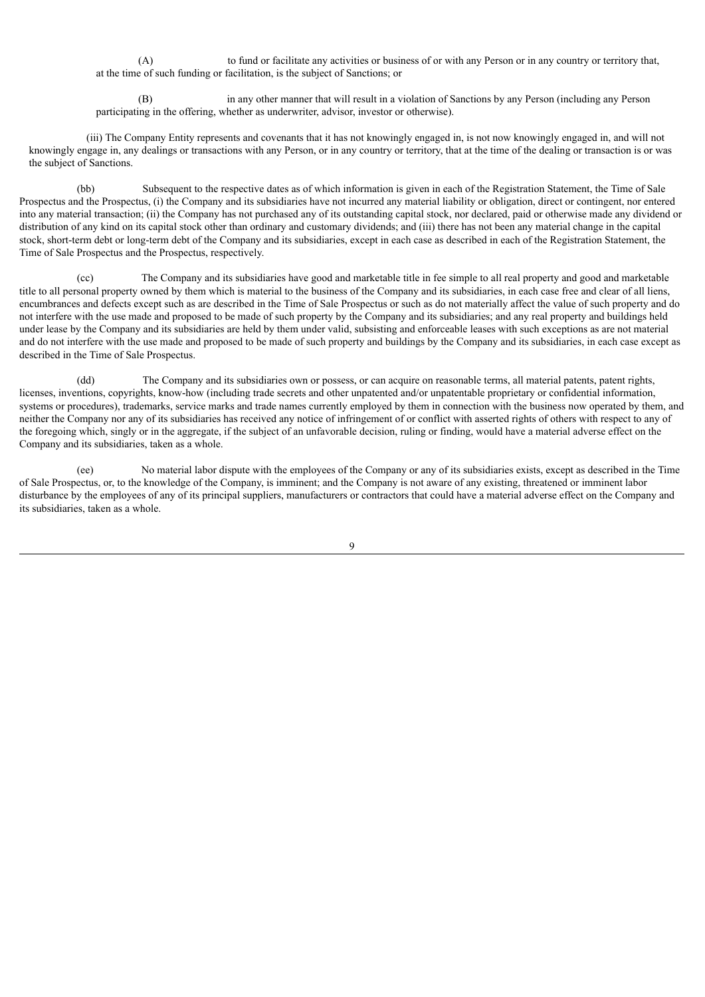(A) to fund or facilitate any activities or business of or with any Person or in any country or territory that, at the time of such funding or facilitation, is the subject of Sanctions; or

in any other manner that will result in a violation of Sanctions by any Person (including any Person participating in the offering, whether as underwriter, advisor, investor or otherwise).

(iii) The Company Entity represents and covenants that it has not knowingly engaged in, is not now knowingly engaged in, and will not knowingly engage in, any dealings or transactions with any Person, or in any country or territory, that at the time of the dealing or transaction is or was the subject of Sanctions.

(bb) Subsequent to the respective dates as of which information is given in each of the Registration Statement, the Time of Sale Prospectus and the Prospectus, (i) the Company and its subsidiaries have not incurred any material liability or obligation, direct or contingent, nor entered into any material transaction; (ii) the Company has not purchased any of its outstanding capital stock, nor declared, paid or otherwise made any dividend or distribution of any kind on its capital stock other than ordinary and customary dividends; and (iii) there has not been any material change in the capital stock, short-term debt or long-term debt of the Company and its subsidiaries, except in each case as described in each of the Registration Statement, the Time of Sale Prospectus and the Prospectus, respectively.

(cc) The Company and its subsidiaries have good and marketable title in fee simple to all real property and good and marketable title to all personal property owned by them which is material to the business of the Company and its subsidiaries, in each case free and clear of all liens, encumbrances and defects except such as are described in the Time of Sale Prospectus or such as do not materially affect the value of such property and do not interfere with the use made and proposed to be made of such property by the Company and its subsidiaries; and any real property and buildings held under lease by the Company and its subsidiaries are held by them under valid, subsisting and enforceable leases with such exceptions as are not material and do not interfere with the use made and proposed to be made of such property and buildings by the Company and its subsidiaries, in each case except as described in the Time of Sale Prospectus.

(dd) The Company and its subsidiaries own or possess, or can acquire on reasonable terms, all material patents, patent rights, licenses, inventions, copyrights, know-how (including trade secrets and other unpatented and/or unpatentable proprietary or confidential information, systems or procedures), trademarks, service marks and trade names currently employed by them in connection with the business now operated by them, and neither the Company nor any of its subsidiaries has received any notice of infringement of or conflict with asserted rights of others with respect to any of the foregoing which, singly or in the aggregate, if the subject of an unfavorable decision, ruling or finding, would have a material adverse effect on the Company and its subsidiaries, taken as a whole.

(ee) No material labor dispute with the employees of the Company or any of its subsidiaries exists, except as described in the Time of Sale Prospectus, or, to the knowledge of the Company, is imminent; and the Company is not aware of any existing, threatened or imminent labor disturbance by the employees of any of its principal suppliers, manufacturers or contractors that could have a material adverse effect on the Company and its subsidiaries, taken as a whole.

 $\overline{Q}$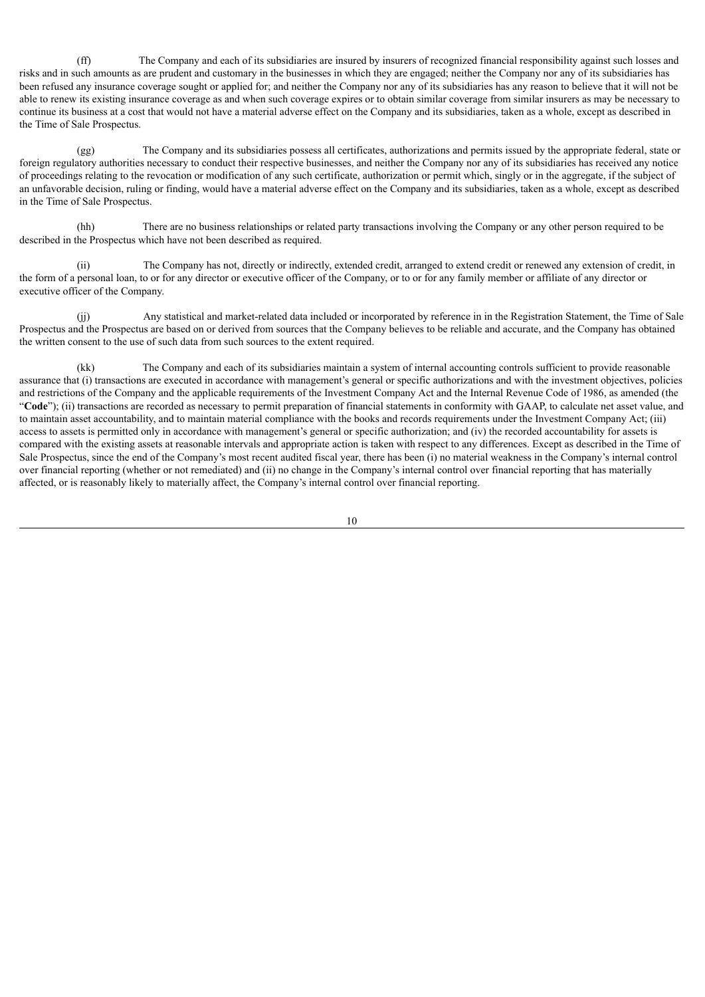(ff) The Company and each of its subsidiaries are insured by insurers of recognized financial responsibility against such losses and risks and in such amounts as are prudent and customary in the businesses in which they are engaged; neither the Company nor any of its subsidiaries has been refused any insurance coverage sought or applied for; and neither the Company nor any of its subsidiaries has any reason to believe that it will not be able to renew its existing insurance coverage as and when such coverage expires or to obtain similar coverage from similar insurers as may be necessary to continue its business at a cost that would not have a material adverse effect on the Company and its subsidiaries, taken as a whole, except as described in the Time of Sale Prospectus.

(gg) The Company and its subsidiaries possess all certificates, authorizations and permits issued by the appropriate federal, state or foreign regulatory authorities necessary to conduct their respective businesses, and neither the Company nor any of its subsidiaries has received any notice of proceedings relating to the revocation or modification of any such certificate, authorization or permit which, singly or in the aggregate, if the subject of an unfavorable decision, ruling or finding, would have a material adverse effect on the Company and its subsidiaries, taken as a whole, except as described in the Time of Sale Prospectus.

(hh) There are no business relationships or related party transactions involving the Company or any other person required to be described in the Prospectus which have not been described as required.

The Company has not, directly or indirectly, extended credit, arranged to extend credit or renewed any extension of credit, in the form of a personal loan, to or for any director or executive officer of the Company, or to or for any family member or affiliate of any director or executive officer of the Company.

(jj) Any statistical and market-related data included or incorporated by reference in in the Registration Statement, the Time of Sale Prospectus and the Prospectus are based on or derived from sources that the Company believes to be reliable and accurate, and the Company has obtained the written consent to the use of such data from such sources to the extent required.

(kk) The Company and each of its subsidiaries maintain a system of internal accounting controls sufficient to provide reasonable assurance that (i) transactions are executed in accordance with management's general or specific authorizations and with the investment objectives, policies and restrictions of the Company and the applicable requirements of the Investment Company Act and the Internal Revenue Code of 1986, as amended (the "**Code**"); (ii) transactions are recorded as necessary to permit preparation of financial statements in conformity with GAAP, to calculate net asset value, and to maintain asset accountability, and to maintain material compliance with the books and records requirements under the Investment Company Act; (iii) access to assets is permitted only in accordance with management's general or specific authorization; and (iv) the recorded accountability for assets is compared with the existing assets at reasonable intervals and appropriate action is taken with respect to any differences. Except as described in the Time of Sale Prospectus, since the end of the Company's most recent audited fiscal year, there has been (i) no material weakness in the Company's internal control over financial reporting (whether or not remediated) and (ii) no change in the Company's internal control over financial reporting that has materially affected, or is reasonably likely to materially affect, the Company's internal control over financial reporting.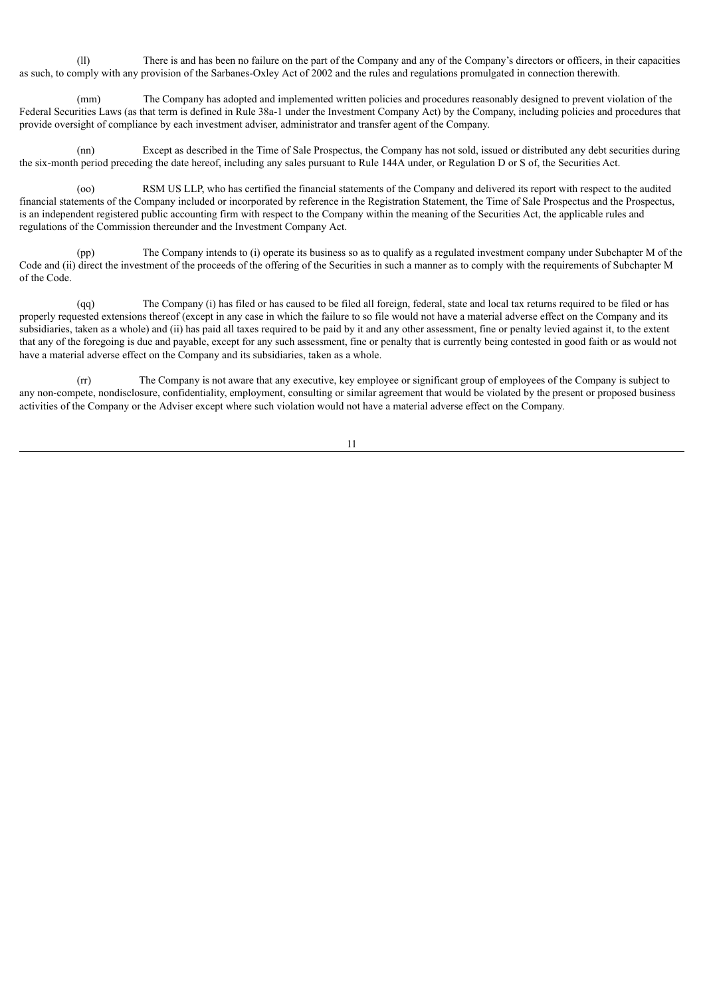(ll) There is and has been no failure on the part of the Company and any of the Company's directors or officers, in their capacities as such, to comply with any provision of the Sarbanes-Oxley Act of 2002 and the rules and regulations promulgated in connection therewith.

The Company has adopted and implemented written policies and procedures reasonably designed to prevent violation of the Federal Securities Laws (as that term is defined in Rule 38a-1 under the Investment Company Act) by the Company, including policies and procedures that provide oversight of compliance by each investment adviser, administrator and transfer agent of the Company.

(nn) Except as described in the Time of Sale Prospectus, the Company has not sold, issued or distributed any debt securities during the six-month period preceding the date hereof, including any sales pursuant to Rule 144A under, or Regulation D or S of, the Securities Act.

(oo) RSM US LLP, who has certified the financial statements of the Company and delivered its report with respect to the audited financial statements of the Company included or incorporated by reference in the Registration Statement, the Time of Sale Prospectus and the Prospectus, is an independent registered public accounting firm with respect to the Company within the meaning of the Securities Act, the applicable rules and regulations of the Commission thereunder and the Investment Company Act.

(pp) The Company intends to (i) operate its business so as to qualify as a regulated investment company under Subchapter M of the Code and (ii) direct the investment of the proceeds of the offering of the Securities in such a manner as to comply with the requirements of Subchapter M of the Code.

(qq) The Company (i) has filed or has caused to be filed all foreign, federal, state and local tax returns required to be filed or has properly requested extensions thereof (except in any case in which the failure to so file would not have a material adverse effect on the Company and its subsidiaries, taken as a whole) and (ii) has paid all taxes required to be paid by it and any other assessment, fine or penalty levied against it, to the extent that any of the foregoing is due and payable, except for any such assessment, fine or penalty that is currently being contested in good faith or as would not have a material adverse effect on the Company and its subsidiaries, taken as a whole.

(rr) The Company is not aware that any executive, key employee or significant group of employees of the Company is subject to any non-compete, nondisclosure, confidentiality, employment, consulting or similar agreement that would be violated by the present or proposed business activities of the Company or the Adviser except where such violation would not have a material adverse effect on the Company.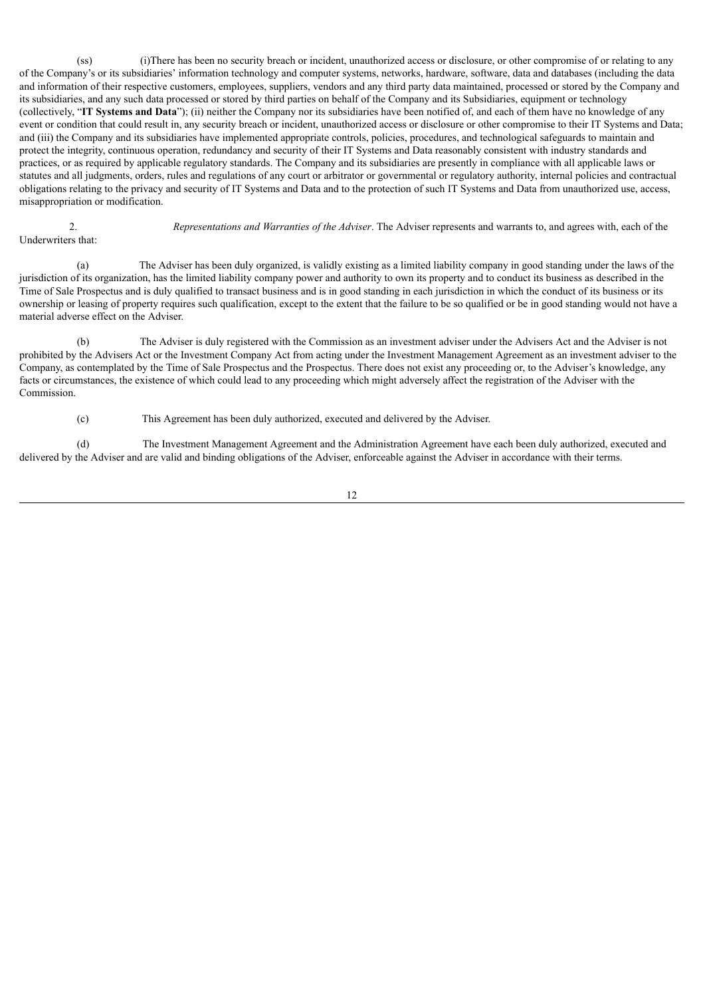(ss) (i)There has been no security breach or incident, unauthorized access or disclosure, or other compromise of or relating to any of the Company's or its subsidiaries' information technology and computer systems, networks, hardware, software, data and databases (including the data and information of their respective customers, employees, suppliers, vendors and any third party data maintained, processed or stored by the Company and its subsidiaries, and any such data processed or stored by third parties on behalf of the Company and its Subsidiaries, equipment or technology (collectively, "**IT Systems and Data**"); (ii) neither the Company nor its subsidiaries have been notified of, and each of them have no knowledge of any event or condition that could result in, any security breach or incident, unauthorized access or disclosure or other compromise to their IT Systems and Data; and (iii) the Company and its subsidiaries have implemented appropriate controls, policies, procedures, and technological safeguards to maintain and protect the integrity, continuous operation, redundancy and security of their IT Systems and Data reasonably consistent with industry standards and practices, or as required by applicable regulatory standards. The Company and its subsidiaries are presently in compliance with all applicable laws or statutes and all judgments, orders, rules and regulations of any court or arbitrator or governmental or regulatory authority, internal policies and contractual obligations relating to the privacy and security of IT Systems and Data and to the protection of such IT Systems and Data from unauthorized use, access, misappropriation or modification.

2. *Representations and Warranties of the Adviser*. The Adviser represents and warrants to, and agrees with, each of the Underwriters that:

(a) The Adviser has been duly organized, is validly existing as a limited liability company in good standing under the laws of the jurisdiction of its organization, has the limited liability company power and authority to own its property and to conduct its business as described in the Time of Sale Prospectus and is duly qualified to transact business and is in good standing in each jurisdiction in which the conduct of its business or its ownership or leasing of property requires such qualification, except to the extent that the failure to be so qualified or be in good standing would not have a material adverse effect on the Adviser.

The Adviser is duly registered with the Commission as an investment adviser under the Advisers Act and the Adviser is not prohibited by the Advisers Act or the Investment Company Act from acting under the Investment Management Agreement as an investment adviser to the Company, as contemplated by the Time of Sale Prospectus and the Prospectus. There does not exist any proceeding or, to the Adviser's knowledge, any facts or circumstances, the existence of which could lead to any proceeding which might adversely affect the registration of the Adviser with the Commission.

(c) This Agreement has been duly authorized, executed and delivered by the Adviser.

(d) The Investment Management Agreement and the Administration Agreement have each been duly authorized, executed and delivered by the Adviser and are valid and binding obligations of the Adviser, enforceable against the Adviser in accordance with their terms.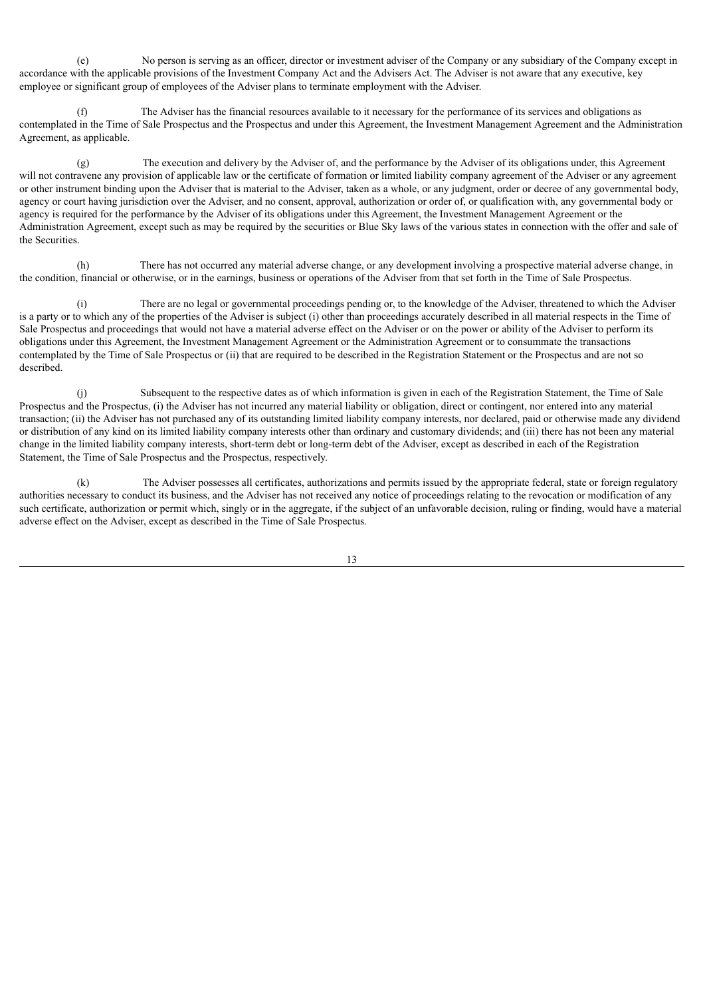(e) No person is serving as an officer, director or investment adviser of the Company or any subsidiary of the Company except in accordance with the applicable provisions of the Investment Company Act and the Advisers Act. The Adviser is not aware that any executive, key employee or significant group of employees of the Adviser plans to terminate employment with the Adviser.

(f) The Adviser has the financial resources available to it necessary for the performance of its services and obligations as contemplated in the Time of Sale Prospectus and the Prospectus and under this Agreement, the Investment Management Agreement and the Administration Agreement, as applicable.

(g) The execution and delivery by the Adviser of, and the performance by the Adviser of its obligations under, this Agreement will not contravene any provision of applicable law or the certificate of formation or limited liability company agreement of the Adviser or any agreement or other instrument binding upon the Adviser that is material to the Adviser, taken as a whole, or any judgment, order or decree of any governmental body, agency or court having jurisdiction over the Adviser, and no consent, approval, authorization or order of, or qualification with, any governmental body or agency is required for the performance by the Adviser of its obligations under this Agreement, the Investment Management Agreement or the Administration Agreement, except such as may be required by the securities or Blue Sky laws of the various states in connection with the offer and sale of the Securities.

There has not occurred any material adverse change, or any development involving a prospective material adverse change, in the condition, financial or otherwise, or in the earnings, business or operations of the Adviser from that set forth in the Time of Sale Prospectus.

(i) There are no legal or governmental proceedings pending or, to the knowledge of the Adviser, threatened to which the Adviser is a party or to which any of the properties of the Adviser is subject (i) other than proceedings accurately described in all material respects in the Time of Sale Prospectus and proceedings that would not have a material adverse effect on the Adviser or on the power or ability of the Adviser to perform its obligations under this Agreement, the Investment Management Agreement or the Administration Agreement or to consummate the transactions contemplated by the Time of Sale Prospectus or (ii) that are required to be described in the Registration Statement or the Prospectus and are not so described.

(j) Subsequent to the respective dates as of which information is given in each of the Registration Statement, the Time of Sale Prospectus and the Prospectus, (i) the Adviser has not incurred any material liability or obligation, direct or contingent, nor entered into any material transaction; (ii) the Adviser has not purchased any of its outstanding limited liability company interests, nor declared, paid or otherwise made any dividend or distribution of any kind on its limited liability company interests other than ordinary and customary dividends; and (iii) there has not been any material change in the limited liability company interests, short-term debt or long-term debt of the Adviser, except as described in each of the Registration Statement, the Time of Sale Prospectus and the Prospectus, respectively.

(k) The Adviser possesses all certificates, authorizations and permits issued by the appropriate federal, state or foreign regulatory authorities necessary to conduct its business, and the Adviser has not received any notice of proceedings relating to the revocation or modification of any such certificate, authorization or permit which, singly or in the aggregate, if the subject of an unfavorable decision, ruling or finding, would have a material adverse effect on the Adviser, except as described in the Time of Sale Prospectus.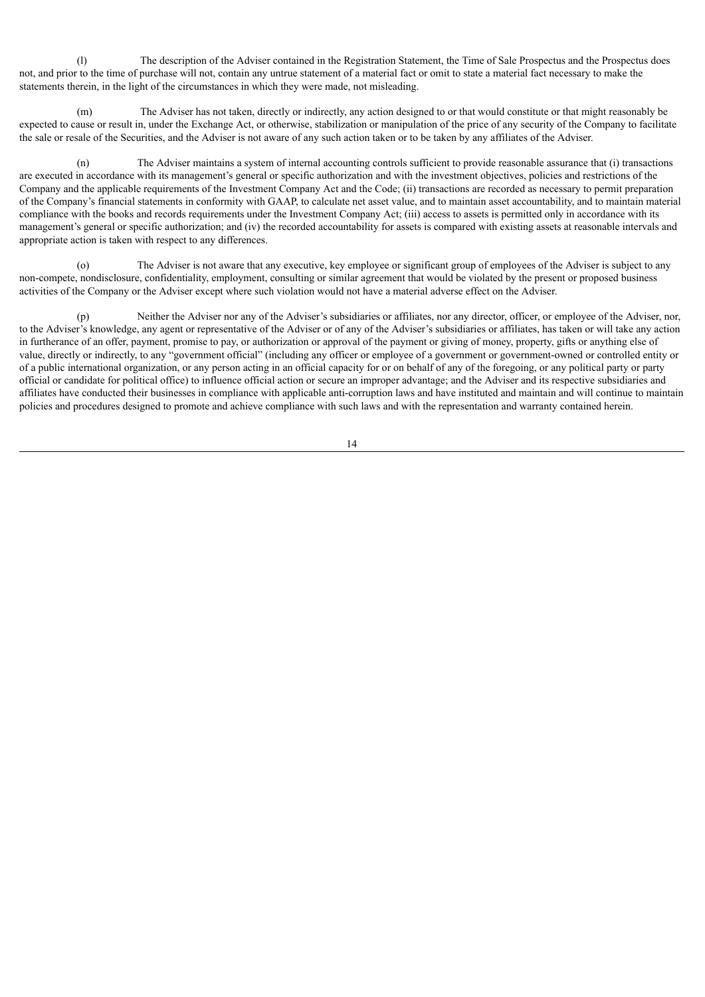(l) The description of the Adviser contained in the Registration Statement, the Time of Sale Prospectus and the Prospectus does not, and prior to the time of purchase will not, contain any untrue statement of a material fact or omit to state a material fact necessary to make the statements therein, in the light of the circumstances in which they were made, not misleading.

(m) The Adviser has not taken, directly or indirectly, any action designed to or that would constitute or that might reasonably be expected to cause or result in, under the Exchange Act, or otherwise, stabilization or manipulation of the price of any security of the Company to facilitate the sale or resale of the Securities, and the Adviser is not aware of any such action taken or to be taken by any affiliates of the Adviser.

(n) The Adviser maintains a system of internal accounting controls sufficient to provide reasonable assurance that (i) transactions are executed in accordance with its management's general or specific authorization and with the investment objectives, policies and restrictions of the Company and the applicable requirements of the Investment Company Act and the Code; (ii) transactions are recorded as necessary to permit preparation of the Company's financial statements in conformity with GAAP, to calculate net asset value, and to maintain asset accountability, and to maintain material compliance with the books and records requirements under the Investment Company Act; (iii) access to assets is permitted only in accordance with its management's general or specific authorization; and (iv) the recorded accountability for assets is compared with existing assets at reasonable intervals and appropriate action is taken with respect to any differences.

The Adviser is not aware that any executive, key employee or significant group of employees of the Adviser is subject to any non-compete, nondisclosure, confidentiality, employment, consulting or similar agreement that would be violated by the present or proposed business activities of the Company or the Adviser except where such violation would not have a material adverse effect on the Adviser.

(p) Neither the Adviser nor any of the Adviser's subsidiaries or affiliates, nor any director, officer, or employee of the Adviser, nor, to the Adviser's knowledge, any agent or representative of the Adviser or of any of the Adviser's subsidiaries or affiliates, has taken or will take any action in furtherance of an offer, payment, promise to pay, or authorization or approval of the payment or giving of money, property, gifts or anything else of value, directly or indirectly, to any "government official" (including any officer or employee of a government or government-owned or controlled entity or of a public international organization, or any person acting in an official capacity for or on behalf of any of the foregoing, or any political party or party official or candidate for political office) to influence official action or secure an improper advantage; and the Adviser and its respective subsidiaries and affiliates have conducted their businesses in compliance with applicable anti-corruption laws and have instituted and maintain and will continue to maintain policies and procedures designed to promote and achieve compliance with such laws and with the representation and warranty contained herein.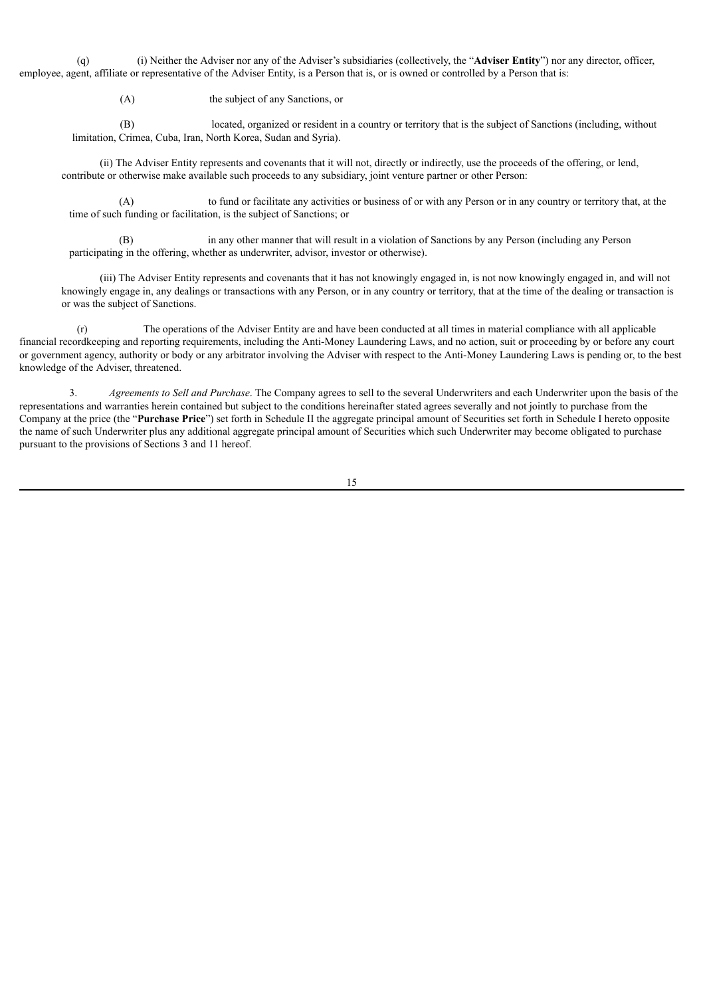(q) (i) Neither the Adviser nor any of the Adviser's subsidiaries (collectively, the "**Adviser Entity**") nor any director, officer, employee, agent, affiliate or representative of the Adviser Entity, is a Person that is, or is owned or controlled by a Person that is:

(A) the subject of any Sanctions, or

(B) located, organized or resident in a country or territory that is the subject of Sanctions (including, without limitation, Crimea, Cuba, Iran, North Korea, Sudan and Syria).

(ii) The Adviser Entity represents and covenants that it will not, directly or indirectly, use the proceeds of the offering, or lend, contribute or otherwise make available such proceeds to any subsidiary, joint venture partner or other Person:

(A) to fund or facilitate any activities or business of or with any Person or in any country or territory that, at the time of such funding or facilitation, is the subject of Sanctions; or

(B) in any other manner that will result in a violation of Sanctions by any Person (including any Person participating in the offering, whether as underwriter, advisor, investor or otherwise).

(iii) The Adviser Entity represents and covenants that it has not knowingly engaged in, is not now knowingly engaged in, and will not knowingly engage in, any dealings or transactions with any Person, or in any country or territory, that at the time of the dealing or transaction is or was the subject of Sanctions.

(r) The operations of the Adviser Entity are and have been conducted at all times in material compliance with all applicable financial recordkeeping and reporting requirements, including the Anti-Money Laundering Laws, and no action, suit or proceeding by or before any court or government agency, authority or body or any arbitrator involving the Adviser with respect to the Anti-Money Laundering Laws is pending or, to the best knowledge of the Adviser, threatened.

3. *Agreements to Sell and Purchase*. The Company agrees to sell to the several Underwriters and each Underwriter upon the basis of the representations and warranties herein contained but subject to the conditions hereinafter stated agrees severally and not jointly to purchase from the Company at the price (the "**Purchase Price**") set forth in Schedule II the aggregate principal amount of Securities set forth in Schedule I hereto opposite the name of such Underwriter plus any additional aggregate principal amount of Securities which such Underwriter may become obligated to purchase pursuant to the provisions of Sections 3 and 11 hereof.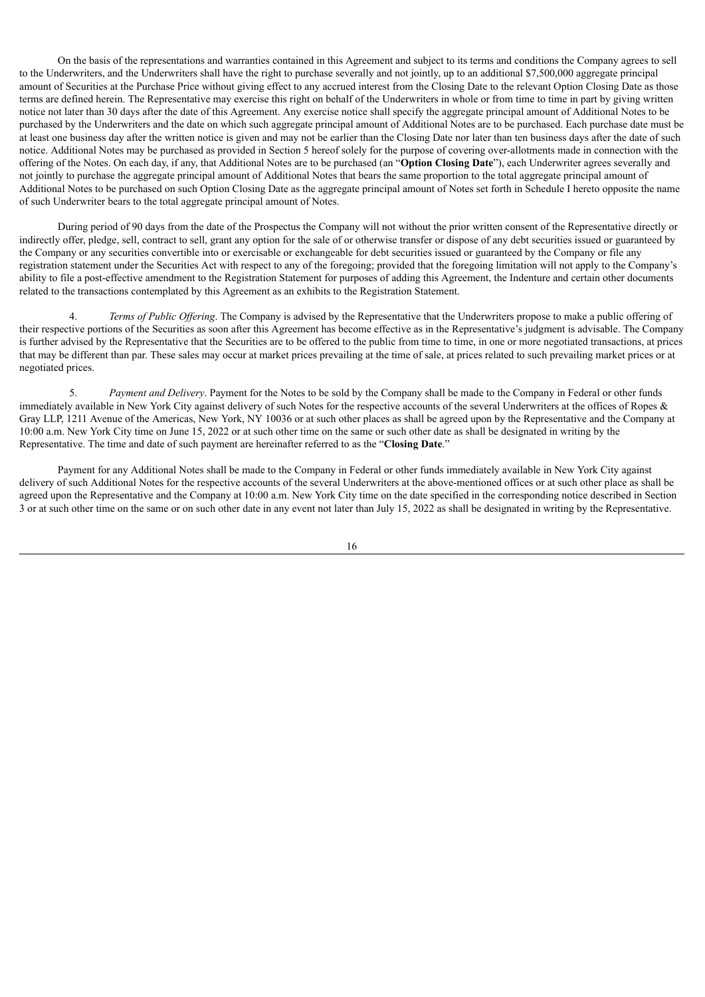On the basis of the representations and warranties contained in this Agreement and subject to its terms and conditions the Company agrees to sell to the Underwriters, and the Underwriters shall have the right to purchase severally and not jointly, up to an additional \$7,500,000 aggregate principal amount of Securities at the Purchase Price without giving effect to any accrued interest from the Closing Date to the relevant Option Closing Date as those terms are defined herein. The Representative may exercise this right on behalf of the Underwriters in whole or from time to time in part by giving written notice not later than 30 days after the date of this Agreement. Any exercise notice shall specify the aggregate principal amount of Additional Notes to be purchased by the Underwriters and the date on which such aggregate principal amount of Additional Notes are to be purchased. Each purchase date must be at least one business day after the written notice is given and may not be earlier than the Closing Date nor later than ten business days after the date of such notice. Additional Notes may be purchased as provided in Section 5 hereof solely for the purpose of covering over-allotments made in connection with the offering of the Notes. On each day, if any, that Additional Notes are to be purchased (an "**Option Closing Date**"), each Underwriter agrees severally and not jointly to purchase the aggregate principal amount of Additional Notes that bears the same proportion to the total aggregate principal amount of Additional Notes to be purchased on such Option Closing Date as the aggregate principal amount of Notes set forth in Schedule I hereto opposite the name of such Underwriter bears to the total aggregate principal amount of Notes.

During period of 90 days from the date of the Prospectus the Company will not without the prior written consent of the Representative directly or indirectly offer, pledge, sell, contract to sell, grant any option for the sale of or otherwise transfer or dispose of any debt securities issued or guaranteed by the Company or any securities convertible into or exercisable or exchangeable for debt securities issued or guaranteed by the Company or file any registration statement under the Securities Act with respect to any of the foregoing; provided that the foregoing limitation will not apply to the Company's ability to file a post-effective amendment to the Registration Statement for purposes of adding this Agreement, the Indenture and certain other documents related to the transactions contemplated by this Agreement as an exhibits to the Registration Statement.

*Terms of Public Offering*. The Company is advised by the Representative that the Underwriters propose to make a public offering of their respective portions of the Securities as soon after this Agreement has become effective as in the Representative's judgment is advisable. The Company is further advised by the Representative that the Securities are to be offered to the public from time to time, in one or more negotiated transactions, at prices that may be different than par. These sales may occur at market prices prevailing at the time of sale, at prices related to such prevailing market prices or at negotiated prices.

5. *Payment and Delivery*. Payment for the Notes to be sold by the Company shall be made to the Company in Federal or other funds immediately available in New York City against delivery of such Notes for the respective accounts of the several Underwriters at the offices of Ropes & Gray LLP, 1211 Avenue of the Americas, New York, NY 10036 or at such other places as shall be agreed upon by the Representative and the Company at 10:00 a.m. New York City time on June 15, 2022 or at such other time on the same or such other date as shall be designated in writing by the Representative. The time and date of such payment are hereinafter referred to as the "**Closing Date**."

Payment for any Additional Notes shall be made to the Company in Federal or other funds immediately available in New York City against delivery of such Additional Notes for the respective accounts of the several Underwriters at the above-mentioned offices or at such other place as shall be agreed upon the Representative and the Company at 10:00 a.m. New York City time on the date specified in the corresponding notice described in Section 3 or at such other time on the same or on such other date in any event not later than July 15, 2022 as shall be designated in writing by the Representative.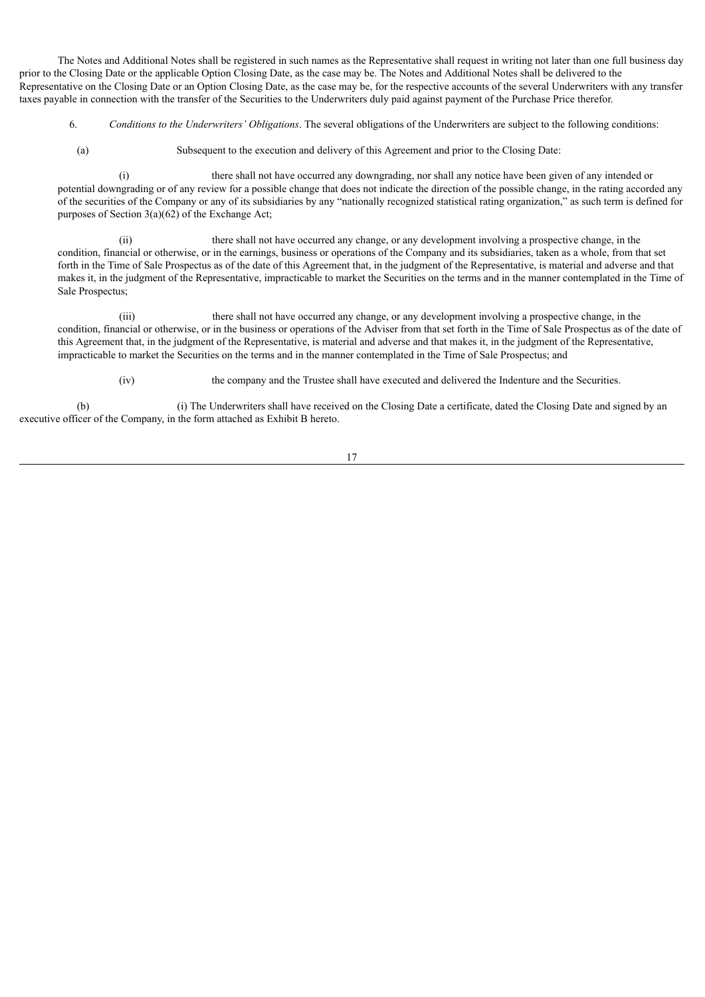The Notes and Additional Notes shall be registered in such names as the Representative shall request in writing not later than one full business day prior to the Closing Date or the applicable Option Closing Date, as the case may be. The Notes and Additional Notes shall be delivered to the Representative on the Closing Date or an Option Closing Date, as the case may be, for the respective accounts of the several Underwriters with any transfer taxes payable in connection with the transfer of the Securities to the Underwriters duly paid against payment of the Purchase Price therefor.

- 6. *Conditions to the Underwriters' Obligations*. The several obligations of the Underwriters are subject to the following conditions:
	- (a) Subsequent to the execution and delivery of this Agreement and prior to the Closing Date:

(i) there shall not have occurred any downgrading, nor shall any notice have been given of any intended or potential downgrading or of any review for a possible change that does not indicate the direction of the possible change, in the rating accorded any of the securities of the Company or any of its subsidiaries by any "nationally recognized statistical rating organization," as such term is defined for purposes of Section  $3(a)(62)$  of the Exchange Act;

(ii) there shall not have occurred any change, or any development involving a prospective change, in the condition, financial or otherwise, or in the earnings, business or operations of the Company and its subsidiaries, taken as a whole, from that set forth in the Time of Sale Prospectus as of the date of this Agreement that, in the judgment of the Representative, is material and adverse and that makes it, in the judgment of the Representative, impracticable to market the Securities on the terms and in the manner contemplated in the Time of Sale Prospectus;

(iii) there shall not have occurred any change, or any development involving a prospective change, in the condition, financial or otherwise, or in the business or operations of the Adviser from that set forth in the Time of Sale Prospectus as of the date of this Agreement that, in the judgment of the Representative, is material and adverse and that makes it, in the judgment of the Representative, impracticable to market the Securities on the terms and in the manner contemplated in the Time of Sale Prospectus; and

(iv) the company and the Trustee shall have executed and delivered the Indenture and the Securities.

(b) (i) The Underwriters shall have received on the Closing Date a certificate, dated the Closing Date and signed by an executive officer of the Company, in the form attached as Exhibit B hereto.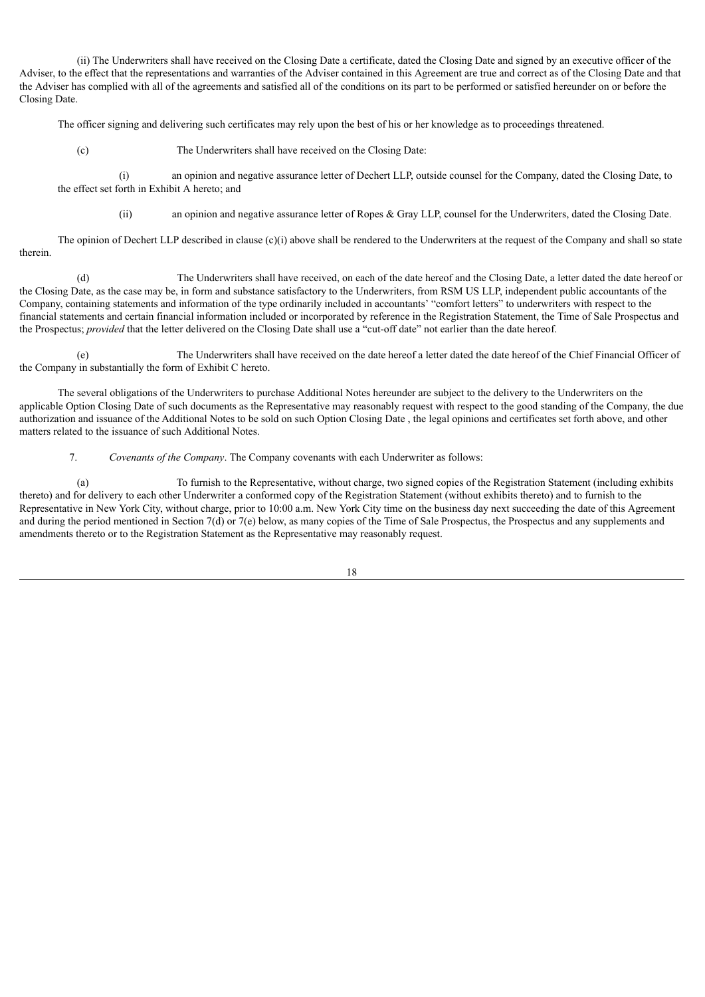(ii) The Underwriters shall have received on the Closing Date a certificate, dated the Closing Date and signed by an executive officer of the Adviser, to the effect that the representations and warranties of the Adviser contained in this Agreement are true and correct as of the Closing Date and that the Adviser has complied with all of the agreements and satisfied all of the conditions on its part to be performed or satisfied hereunder on or before the Closing Date.

The officer signing and delivering such certificates may rely upon the best of his or her knowledge as to proceedings threatened.

(c) The Underwriters shall have received on the Closing Date:

(i) an opinion and negative assurance letter of Dechert LLP, outside counsel for the Company, dated the Closing Date, to the effect set forth in Exhibit A hereto; and

(ii) an opinion and negative assurance letter of Ropes & Gray LLP, counsel for the Underwriters, dated the Closing Date.

The opinion of Dechert LLP described in clause  $(c)(i)$  above shall be rendered to the Underwriters at the request of the Company and shall so state therein.

(d) The Underwriters shall have received, on each of the date hereof and the Closing Date, a letter dated the date hereof or the Closing Date, as the case may be, in form and substance satisfactory to the Underwriters, from RSM US LLP, independent public accountants of the Company, containing statements and information of the type ordinarily included in accountants' "comfort letters" to underwriters with respect to the financial statements and certain financial information included or incorporated by reference in the Registration Statement, the Time of Sale Prospectus and the Prospectus; *provided* that the letter delivered on the Closing Date shall use a "cut-off date" not earlier than the date hereof.

(e) The Underwriters shall have received on the date hereof a letter dated the date hereof of the Chief Financial Officer of the Company in substantially the form of Exhibit C hereto.

The several obligations of the Underwriters to purchase Additional Notes hereunder are subject to the delivery to the Underwriters on the applicable Option Closing Date of such documents as the Representative may reasonably request with respect to the good standing of the Company, the due authorization and issuance of the Additional Notes to be sold on such Option Closing Date , the legal opinions and certificates set forth above, and other matters related to the issuance of such Additional Notes.

7. *Covenants of the Company*. The Company covenants with each Underwriter as follows:

(a) To furnish to the Representative, without charge, two signed copies of the Registration Statement (including exhibits thereto) and for delivery to each other Underwriter a conformed copy of the Registration Statement (without exhibits thereto) and to furnish to the Representative in New York City, without charge, prior to 10:00 a.m. New York City time on the business day next succeeding the date of this Agreement and during the period mentioned in Section 7(d) or 7(e) below, as many copies of the Time of Sale Prospectus, the Prospectus and any supplements and amendments thereto or to the Registration Statement as the Representative may reasonably request.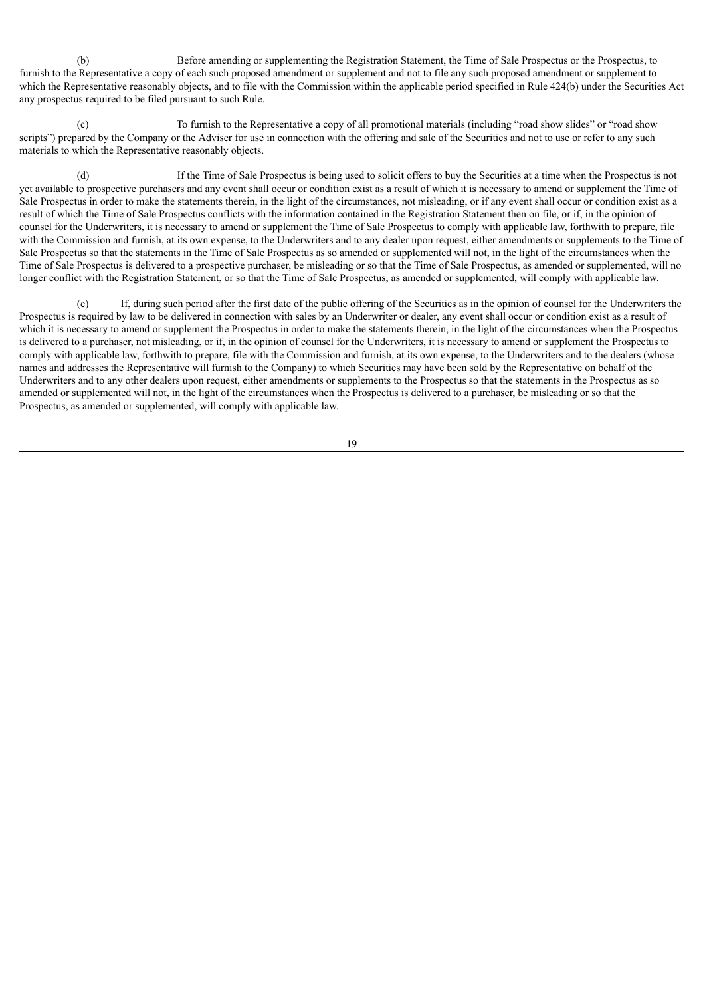(b) Before amending or supplementing the Registration Statement, the Time of Sale Prospectus or the Prospectus, to furnish to the Representative a copy of each such proposed amendment or supplement and not to file any such proposed amendment or supplement to which the Representative reasonably objects, and to file with the Commission within the applicable period specified in Rule 424(b) under the Securities Act any prospectus required to be filed pursuant to such Rule.

(c) To furnish to the Representative a copy of all promotional materials (including "road show slides" or "road show scripts") prepared by the Company or the Adviser for use in connection with the offering and sale of the Securities and not to use or refer to any such materials to which the Representative reasonably objects.

(d) If the Time of Sale Prospectus is being used to solicit offers to buy the Securities at a time when the Prospectus is not yet available to prospective purchasers and any event shall occur or condition exist as a result of which it is necessary to amend or supplement the Time of Sale Prospectus in order to make the statements therein, in the light of the circumstances, not misleading, or if any event shall occur or condition exist as a result of which the Time of Sale Prospectus conflicts with the information contained in the Registration Statement then on file, or if, in the opinion of counsel for the Underwriters, it is necessary to amend or supplement the Time of Sale Prospectus to comply with applicable law, forthwith to prepare, file with the Commission and furnish, at its own expense, to the Underwriters and to any dealer upon request, either amendments or supplements to the Time of Sale Prospectus so that the statements in the Time of Sale Prospectus as so amended or supplemented will not, in the light of the circumstances when the Time of Sale Prospectus is delivered to a prospective purchaser, be misleading or so that the Time of Sale Prospectus, as amended or supplemented, will no longer conflict with the Registration Statement, or so that the Time of Sale Prospectus, as amended or supplemented, will comply with applicable law.

(e) If, during such period after the first date of the public offering of the Securities as in the opinion of counsel for the Underwriters the Prospectus is required by law to be delivered in connection with sales by an Underwriter or dealer, any event shall occur or condition exist as a result of which it is necessary to amend or supplement the Prospectus in order to make the statements therein, in the light of the circumstances when the Prospectus is delivered to a purchaser, not misleading, or if, in the opinion of counsel for the Underwriters, it is necessary to amend or supplement the Prospectus to comply with applicable law, forthwith to prepare, file with the Commission and furnish, at its own expense, to the Underwriters and to the dealers (whose names and addresses the Representative will furnish to the Company) to which Securities may have been sold by the Representative on behalf of the Underwriters and to any other dealers upon request, either amendments or supplements to the Prospectus so that the statements in the Prospectus as so amended or supplemented will not, in the light of the circumstances when the Prospectus is delivered to a purchaser, be misleading or so that the Prospectus, as amended or supplemented, will comply with applicable law.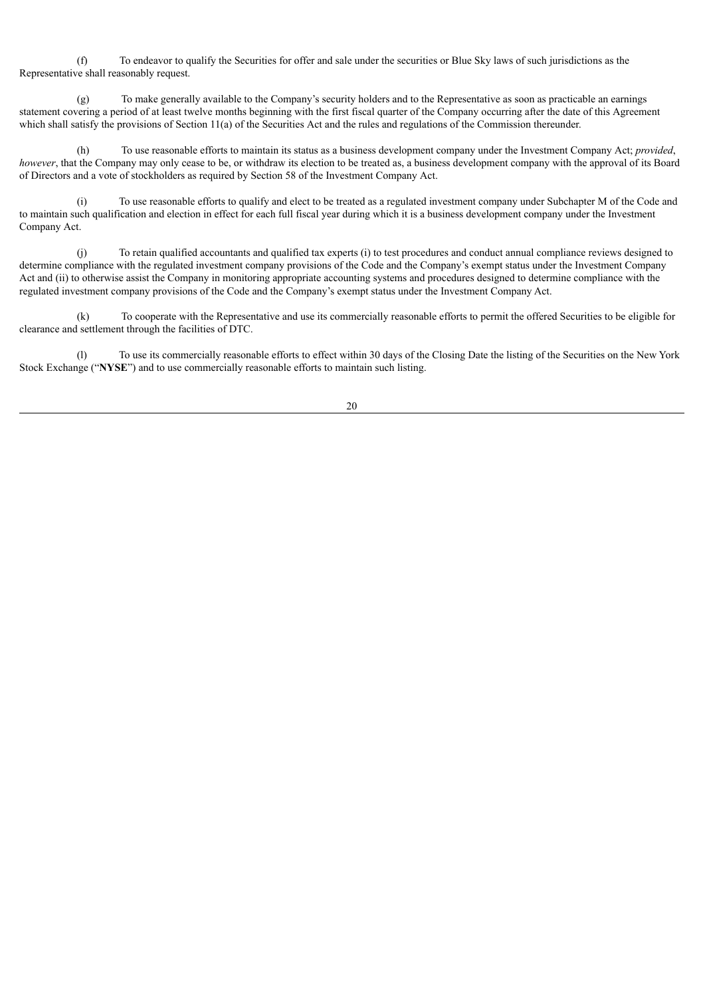(f) To endeavor to qualify the Securities for offer and sale under the securities or Blue Sky laws of such jurisdictions as the Representative shall reasonably request.

(g) To make generally available to the Company's security holders and to the Representative as soon as practicable an earnings statement covering a period of at least twelve months beginning with the first fiscal quarter of the Company occurring after the date of this Agreement which shall satisfy the provisions of Section 11(a) of the Securities Act and the rules and regulations of the Commission thereunder.

(h) To use reasonable efforts to maintain its status as a business development company under the Investment Company Act; *provided*, *however*, that the Company may only cease to be, or withdraw its election to be treated as, a business development company with the approval of its Board of Directors and a vote of stockholders as required by Section 58 of the Investment Company Act.

(i) To use reasonable efforts to qualify and elect to be treated as a regulated investment company under Subchapter M of the Code and to maintain such qualification and election in effect for each full fiscal year during which it is a business development company under the Investment Company Act.

(j) To retain qualified accountants and qualified tax experts (i) to test procedures and conduct annual compliance reviews designed to determine compliance with the regulated investment company provisions of the Code and the Company's exempt status under the Investment Company Act and (ii) to otherwise assist the Company in monitoring appropriate accounting systems and procedures designed to determine compliance with the regulated investment company provisions of the Code and the Company's exempt status under the Investment Company Act.

(k) To cooperate with the Representative and use its commercially reasonable efforts to permit the offered Securities to be eligible for clearance and settlement through the facilities of DTC.

(l) To use its commercially reasonable efforts to effect within 30 days of the Closing Date the listing of the Securities on the New York Stock Exchange ("**NYSE**") and to use commercially reasonable efforts to maintain such listing.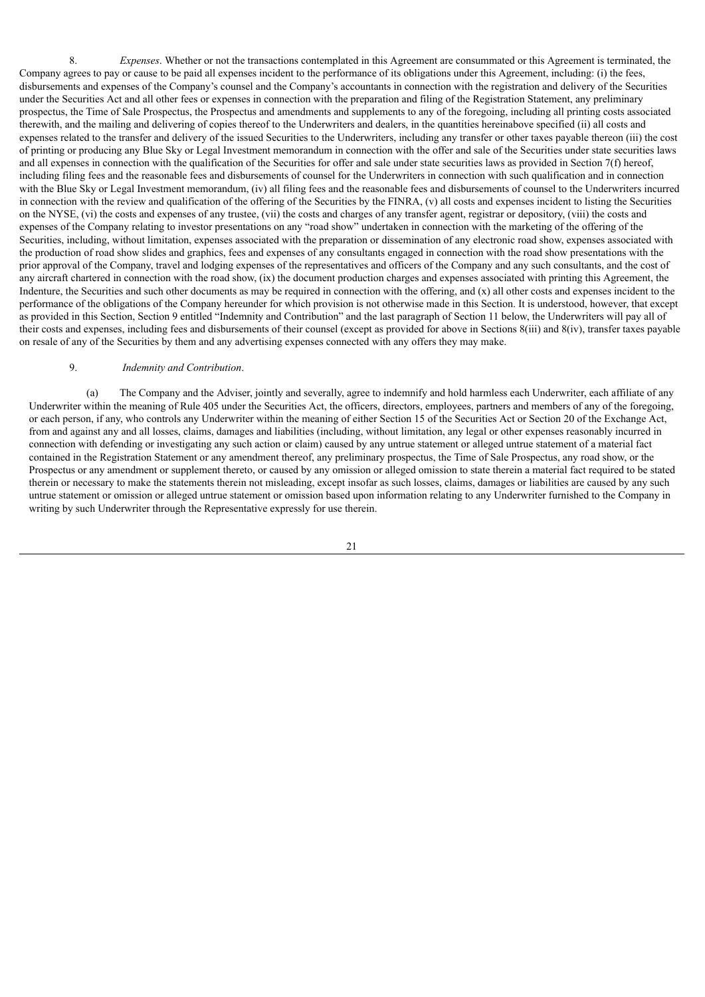8. *Expenses*. Whether or not the transactions contemplated in this Agreement are consummated or this Agreement is terminated, the Company agrees to pay or cause to be paid all expenses incident to the performance of its obligations under this Agreement, including: (i) the fees, disbursements and expenses of the Company's counsel and the Company's accountants in connection with the registration and delivery of the Securities under the Securities Act and all other fees or expenses in connection with the preparation and filing of the Registration Statement, any preliminary prospectus, the Time of Sale Prospectus, the Prospectus and amendments and supplements to any of the foregoing, including all printing costs associated therewith, and the mailing and delivering of copies thereof to the Underwriters and dealers, in the quantities hereinabove specified (ii) all costs and expenses related to the transfer and delivery of the issued Securities to the Underwriters, including any transfer or other taxes payable thereon (iii) the cost of printing or producing any Blue Sky or Legal Investment memorandum in connection with the offer and sale of the Securities under state securities laws and all expenses in connection with the qualification of the Securities for offer and sale under state securities laws as provided in Section 7(f) hereof, including filing fees and the reasonable fees and disbursements of counsel for the Underwriters in connection with such qualification and in connection with the Blue Sky or Legal Investment memorandum, (iv) all filing fees and the reasonable fees and disbursements of counsel to the Underwriters incurred in connection with the review and qualification of the offering of the Securities by the FINRA, (v) all costs and expenses incident to listing the Securities on the NYSE, (vi) the costs and expenses of any trustee, (vii) the costs and charges of any transfer agent, registrar or depository, (viii) the costs and expenses of the Company relating to investor presentations on any "road show" undertaken in connection with the marketing of the offering of the Securities, including, without limitation, expenses associated with the preparation or dissemination of any electronic road show, expenses associated with the production of road show slides and graphics, fees and expenses of any consultants engaged in connection with the road show presentations with the prior approval of the Company, travel and lodging expenses of the representatives and officers of the Company and any such consultants, and the cost of any aircraft chartered in connection with the road show, (ix) the document production charges and expenses associated with printing this Agreement, the Indenture, the Securities and such other documents as may be required in connection with the offering, and (x) all other costs and expenses incident to the performance of the obligations of the Company hereunder for which provision is not otherwise made in this Section. It is understood, however, that except as provided in this Section, Section 9 entitled "Indemnity and Contribution" and the last paragraph of Section 11 below, the Underwriters will pay all of their costs and expenses, including fees and disbursements of their counsel (except as provided for above in Sections 8(iii) and 8(iv), transfer taxes payable on resale of any of the Securities by them and any advertising expenses connected with any offers they may make.

#### 9. *Indemnity and Contribution*.

(a) The Company and the Adviser, jointly and severally, agree to indemnify and hold harmless each Underwriter, each affiliate of any Underwriter within the meaning of Rule 405 under the Securities Act, the officers, directors, employees, partners and members of any of the foregoing, or each person, if any, who controls any Underwriter within the meaning of either Section 15 of the Securities Act or Section 20 of the Exchange Act, from and against any and all losses, claims, damages and liabilities (including, without limitation, any legal or other expenses reasonably incurred in connection with defending or investigating any such action or claim) caused by any untrue statement or alleged untrue statement of a material fact contained in the Registration Statement or any amendment thereof, any preliminary prospectus, the Time of Sale Prospectus, any road show, or the Prospectus or any amendment or supplement thereto, or caused by any omission or alleged omission to state therein a material fact required to be stated therein or necessary to make the statements therein not misleading, except insofar as such losses, claims, damages or liabilities are caused by any such untrue statement or omission or alleged untrue statement or omission based upon information relating to any Underwriter furnished to the Company in writing by such Underwriter through the Representative expressly for use therein.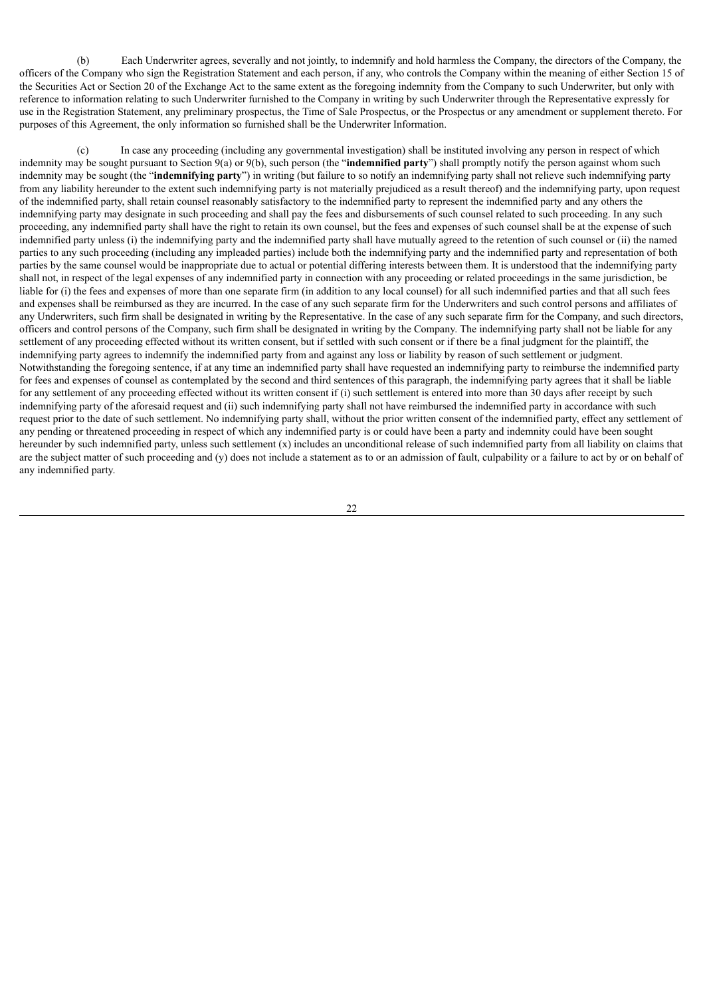(b) Each Underwriter agrees, severally and not jointly, to indemnify and hold harmless the Company, the directors of the Company, the officers of the Company who sign the Registration Statement and each person, if any, who controls the Company within the meaning of either Section 15 of the Securities Act or Section 20 of the Exchange Act to the same extent as the foregoing indemnity from the Company to such Underwriter, but only with reference to information relating to such Underwriter furnished to the Company in writing by such Underwriter through the Representative expressly for use in the Registration Statement, any preliminary prospectus, the Time of Sale Prospectus, or the Prospectus or any amendment or supplement thereto. For purposes of this Agreement, the only information so furnished shall be the Underwriter Information.

(c) In case any proceeding (including any governmental investigation) shall be instituted involving any person in respect of which indemnity may be sought pursuant to Section 9(a) or 9(b), such person (the "**indemnified party**") shall promptly notify the person against whom such indemnity may be sought (the "**indemnifying party**") in writing (but failure to so notify an indemnifying party shall not relieve such indemnifying party from any liability hereunder to the extent such indemnifying party is not materially prejudiced as a result thereof) and the indemnifying party, upon request of the indemnified party, shall retain counsel reasonably satisfactory to the indemnified party to represent the indemnified party and any others the indemnifying party may designate in such proceeding and shall pay the fees and disbursements of such counsel related to such proceeding. In any such proceeding, any indemnified party shall have the right to retain its own counsel, but the fees and expenses of such counsel shall be at the expense of such indemnified party unless (i) the indemnifying party and the indemnified party shall have mutually agreed to the retention of such counsel or (ii) the named parties to any such proceeding (including any impleaded parties) include both the indemnifying party and the indemnified party and representation of both parties by the same counsel would be inappropriate due to actual or potential differing interests between them. It is understood that the indemnifying party shall not, in respect of the legal expenses of any indemnified party in connection with any proceeding or related proceedings in the same jurisdiction, be liable for (i) the fees and expenses of more than one separate firm (in addition to any local counsel) for all such indemnified parties and that all such fees and expenses shall be reimbursed as they are incurred. In the case of any such separate firm for the Underwriters and such control persons and affiliates of any Underwriters, such firm shall be designated in writing by the Representative. In the case of any such separate firm for the Company, and such directors, officers and control persons of the Company, such firm shall be designated in writing by the Company. The indemnifying party shall not be liable for any settlement of any proceeding effected without its written consent, but if settled with such consent or if there be a final judgment for the plaintiff, the indemnifying party agrees to indemnify the indemnified party from and against any loss or liability by reason of such settlement or judgment. Notwithstanding the foregoing sentence, if at any time an indemnified party shall have requested an indemnifying party to reimburse the indemnified party for fees and expenses of counsel as contemplated by the second and third sentences of this paragraph, the indemnifying party agrees that it shall be liable for any settlement of any proceeding effected without its written consent if (i) such settlement is entered into more than 30 days after receipt by such indemnifying party of the aforesaid request and (ii) such indemnifying party shall not have reimbursed the indemnified party in accordance with such request prior to the date of such settlement. No indemnifying party shall, without the prior written consent of the indemnified party, effect any settlement of any pending or threatened proceeding in respect of which any indemnified party is or could have been a party and indemnity could have been sought hereunder by such indemnified party, unless such settlement (x) includes an unconditional release of such indemnified party from all liability on claims that are the subject matter of such proceeding and (y) does not include a statement as to or an admission of fault, culpability or a failure to act by or on behalf of any indemnified party.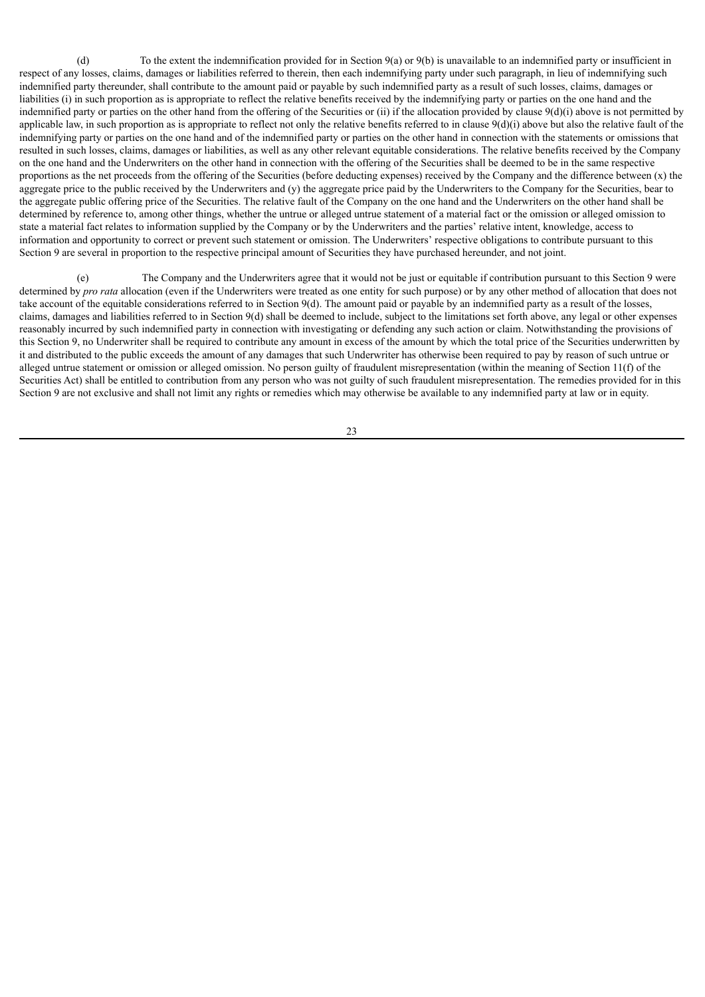(d) To the extent the indemnification provided for in Section 9(a) or 9(b) is unavailable to an indemnified party or insufficient in respect of any losses, claims, damages or liabilities referred to therein, then each indemnifying party under such paragraph, in lieu of indemnifying such indemnified party thereunder, shall contribute to the amount paid or payable by such indemnified party as a result of such losses, claims, damages or liabilities (i) in such proportion as is appropriate to reflect the relative benefits received by the indemnifying party or parties on the one hand and the indemnified party or parties on the other hand from the offering of the Securities or (ii) if the allocation provided by clause 9(d)(i) above is not permitted by applicable law, in such proportion as is appropriate to reflect not only the relative benefits referred to in clause  $9(d)(i)$  above but also the relative fault of the indemnifying party or parties on the one hand and of the indemnified party or parties on the other hand in connection with the statements or omissions that resulted in such losses, claims, damages or liabilities, as well as any other relevant equitable considerations. The relative benefits received by the Company on the one hand and the Underwriters on the other hand in connection with the offering of the Securities shall be deemed to be in the same respective proportions as the net proceeds from the offering of the Securities (before deducting expenses) received by the Company and the difference between (x) the aggregate price to the public received by the Underwriters and (y) the aggregate price paid by the Underwriters to the Company for the Securities, bear to the aggregate public offering price of the Securities. The relative fault of the Company on the one hand and the Underwriters on the other hand shall be determined by reference to, among other things, whether the untrue or alleged untrue statement of a material fact or the omission or alleged omission to state a material fact relates to information supplied by the Company or by the Underwriters and the parties' relative intent, knowledge, access to information and opportunity to correct or prevent such statement or omission. The Underwriters' respective obligations to contribute pursuant to this Section 9 are several in proportion to the respective principal amount of Securities they have purchased hereunder, and not joint.

(e) The Company and the Underwriters agree that it would not be just or equitable if contribution pursuant to this Section 9 were determined by *pro rata* allocation (even if the Underwriters were treated as one entity for such purpose) or by any other method of allocation that does not take account of the equitable considerations referred to in Section 9(d). The amount paid or payable by an indemnified party as a result of the losses, claims, damages and liabilities referred to in Section 9(d) shall be deemed to include, subject to the limitations set forth above, any legal or other expenses reasonably incurred by such indemnified party in connection with investigating or defending any such action or claim. Notwithstanding the provisions of this Section 9, no Underwriter shall be required to contribute any amount in excess of the amount by which the total price of the Securities underwritten by it and distributed to the public exceeds the amount of any damages that such Underwriter has otherwise been required to pay by reason of such untrue or alleged untrue statement or omission or alleged omission. No person guilty of fraudulent misrepresentation (within the meaning of Section 11(f) of the Securities Act) shall be entitled to contribution from any person who was not guilty of such fraudulent misrepresentation. The remedies provided for in this Section 9 are not exclusive and shall not limit any rights or remedies which may otherwise be available to any indemnified party at law or in equity.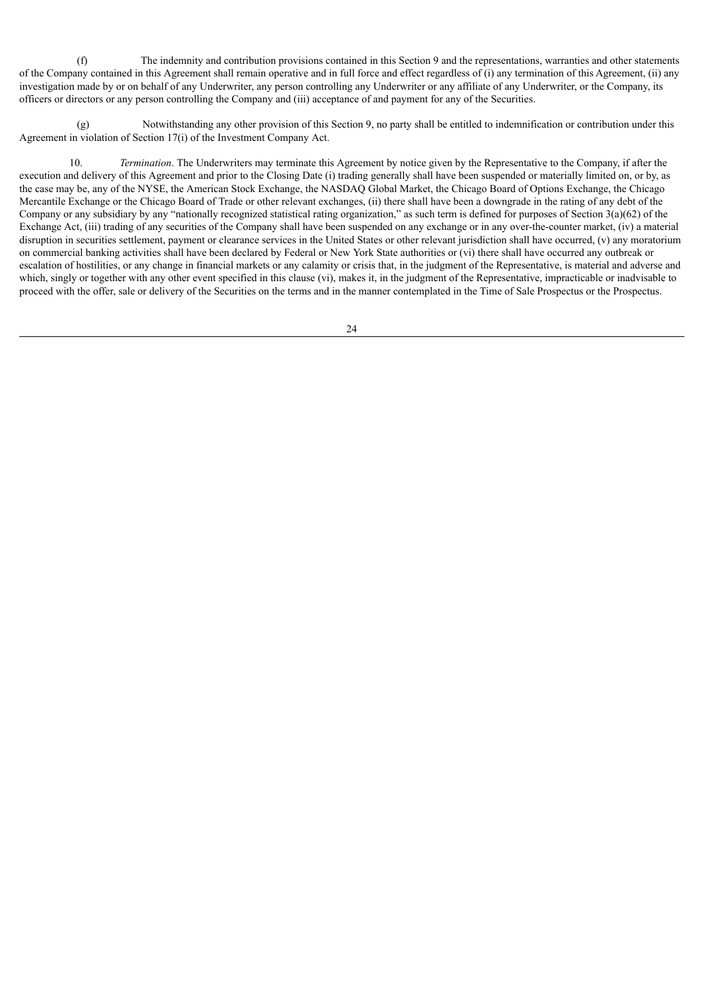(f) The indemnity and contribution provisions contained in this Section 9 and the representations, warranties and other statements of the Company contained in this Agreement shall remain operative and in full force and effect regardless of (i) any termination of this Agreement, (ii) any investigation made by or on behalf of any Underwriter, any person controlling any Underwriter or any affiliate of any Underwriter, or the Company, its officers or directors or any person controlling the Company and (iii) acceptance of and payment for any of the Securities.

(g) Notwithstanding any other provision of this Section 9, no party shall be entitled to indemnification or contribution under this Agreement in violation of Section 17(i) of the Investment Company Act.

10. *Termination*. The Underwriters may terminate this Agreement by notice given by the Representative to the Company, if after the execution and delivery of this Agreement and prior to the Closing Date (i) trading generally shall have been suspended or materially limited on, or by, as the case may be, any of the NYSE, the American Stock Exchange, the NASDAQ Global Market, the Chicago Board of Options Exchange, the Chicago Mercantile Exchange or the Chicago Board of Trade or other relevant exchanges, (ii) there shall have been a downgrade in the rating of any debt of the Company or any subsidiary by any "nationally recognized statistical rating organization," as such term is defined for purposes of Section 3(a)(62) of the Exchange Act, (iii) trading of any securities of the Company shall have been suspended on any exchange or in any over-the-counter market, (iv) a material disruption in securities settlement, payment or clearance services in the United States or other relevant jurisdiction shall have occurred, (v) any moratorium on commercial banking activities shall have been declared by Federal or New York State authorities or (vi) there shall have occurred any outbreak or escalation of hostilities, or any change in financial markets or any calamity or crisis that, in the judgment of the Representative, is material and adverse and which, singly or together with any other event specified in this clause (vi), makes it, in the judgment of the Representative, impracticable or inadvisable to proceed with the offer, sale or delivery of the Securities on the terms and in the manner contemplated in the Time of Sale Prospectus or the Prospectus.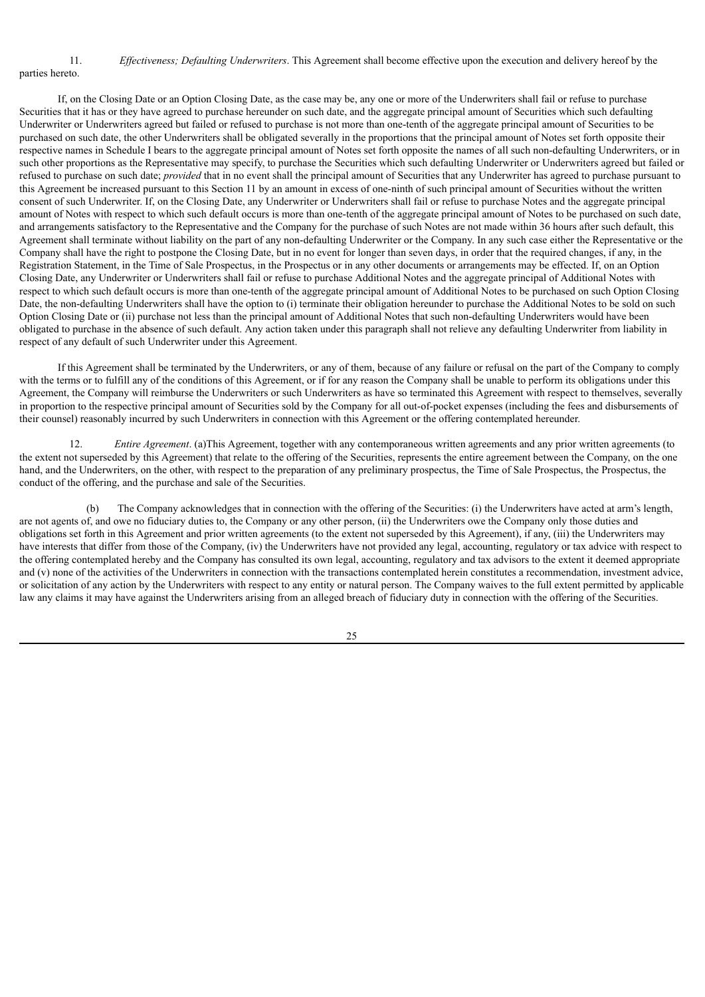#### 11. *Ef ectiveness; Defaulting Underwriters*. This Agreement shall become effective upon the execution and delivery hereof by the parties hereto.

If, on the Closing Date or an Option Closing Date, as the case may be, any one or more of the Underwriters shall fail or refuse to purchase Securities that it has or they have agreed to purchase hereunder on such date, and the aggregate principal amount of Securities which such defaulting Underwriter or Underwriters agreed but failed or refused to purchase is not more than one-tenth of the aggregate principal amount of Securities to be purchased on such date, the other Underwriters shall be obligated severally in the proportions that the principal amount of Notes set forth opposite their respective names in Schedule I bears to the aggregate principal amount of Notes set forth opposite the names of all such non-defaulting Underwriters, or in such other proportions as the Representative may specify, to purchase the Securities which such defaulting Underwriter or Underwriters agreed but failed or refused to purchase on such date; *provided* that in no event shall the principal amount of Securities that any Underwriter has agreed to purchase pursuant to this Agreement be increased pursuant to this Section 11 by an amount in excess of one-ninth of such principal amount of Securities without the written consent of such Underwriter. If, on the Closing Date, any Underwriter or Underwriters shall fail or refuse to purchase Notes and the aggregate principal amount of Notes with respect to which such default occurs is more than one-tenth of the aggregate principal amount of Notes to be purchased on such date, and arrangements satisfactory to the Representative and the Company for the purchase of such Notes are not made within 36 hours after such default, this Agreement shall terminate without liability on the part of any non-defaulting Underwriter or the Company. In any such case either the Representative or the Company shall have the right to postpone the Closing Date, but in no event for longer than seven days, in order that the required changes, if any, in the Registration Statement, in the Time of Sale Prospectus, in the Prospectus or in any other documents or arrangements may be effected. If, on an Option Closing Date, any Underwriter or Underwriters shall fail or refuse to purchase Additional Notes and the aggregate principal of Additional Notes with respect to which such default occurs is more than one-tenth of the aggregate principal amount of Additional Notes to be purchased on such Option Closing Date, the non-defaulting Underwriters shall have the option to (i) terminate their obligation hereunder to purchase the Additional Notes to be sold on such Option Closing Date or (ii) purchase not less than the principal amount of Additional Notes that such non-defaulting Underwriters would have been obligated to purchase in the absence of such default. Any action taken under this paragraph shall not relieve any defaulting Underwriter from liability in respect of any default of such Underwriter under this Agreement.

If this Agreement shall be terminated by the Underwriters, or any of them, because of any failure or refusal on the part of the Company to comply with the terms or to fulfill any of the conditions of this Agreement, or if for any reason the Company shall be unable to perform its obligations under this Agreement, the Company will reimburse the Underwriters or such Underwriters as have so terminated this Agreement with respect to themselves, severally in proportion to the respective principal amount of Securities sold by the Company for all out-of-pocket expenses (including the fees and disbursements of their counsel) reasonably incurred by such Underwriters in connection with this Agreement or the offering contemplated hereunder.

12. *Entire Agreement*. (a)This Agreement, together with any contemporaneous written agreements and any prior written agreements (to the extent not superseded by this Agreement) that relate to the offering of the Securities, represents the entire agreement between the Company, on the one hand, and the Underwriters, on the other, with respect to the preparation of any preliminary prospectus, the Time of Sale Prospectus, the Prospectus, the conduct of the offering, and the purchase and sale of the Securities.

(b) The Company acknowledges that in connection with the offering of the Securities: (i) the Underwriters have acted at arm's length, are not agents of, and owe no fiduciary duties to, the Company or any other person, (ii) the Underwriters owe the Company only those duties and obligations set forth in this Agreement and prior written agreements (to the extent not superseded by this Agreement), if any, (iii) the Underwriters may have interests that differ from those of the Company, (iv) the Underwriters have not provided any legal, accounting, regulatory or tax advice with respect to the offering contemplated hereby and the Company has consulted its own legal, accounting, regulatory and tax advisors to the extent it deemed appropriate and (v) none of the activities of the Underwriters in connection with the transactions contemplated herein constitutes a recommendation, investment advice, or solicitation of any action by the Underwriters with respect to any entity or natural person. The Company waives to the full extent permitted by applicable law any claims it may have against the Underwriters arising from an alleged breach of fiduciary duty in connection with the offering of the Securities.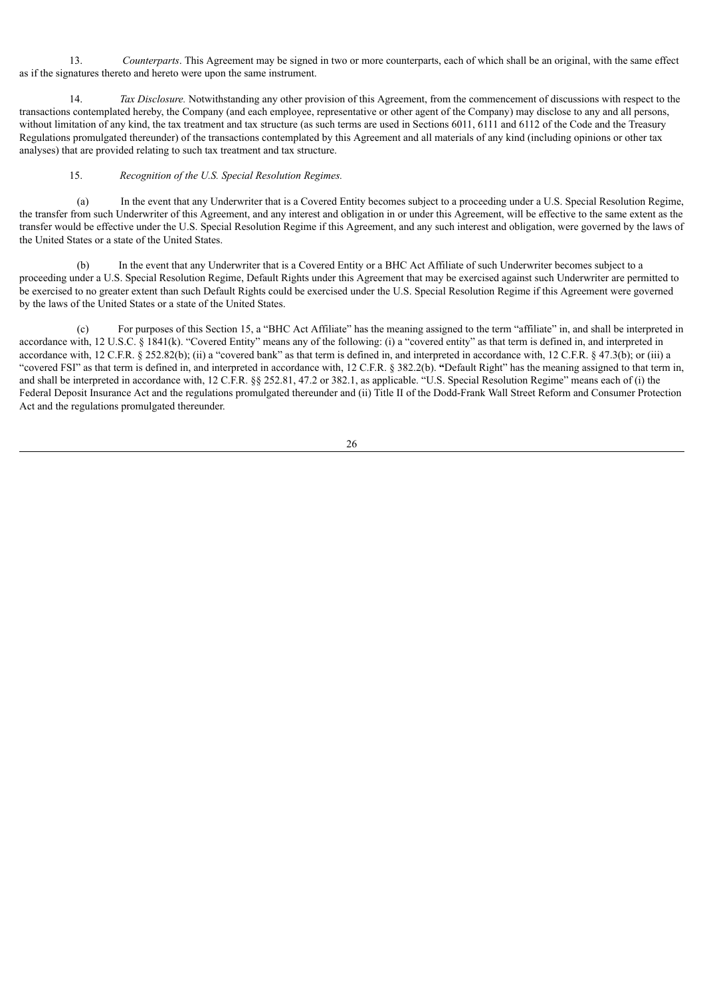13. *Counterparts*. This Agreement may be signed in two or more counterparts, each of which shall be an original, with the same effect as if the signatures thereto and hereto were upon the same instrument.

14. *Tax Disclosure.* Notwithstanding any other provision of this Agreement, from the commencement of discussions with respect to the transactions contemplated hereby, the Company (and each employee, representative or other agent of the Company) may disclose to any and all persons, without limitation of any kind, the tax treatment and tax structure (as such terms are used in Sections 6011, 6111 and 6112 of the Code and the Treasury Regulations promulgated thereunder) of the transactions contemplated by this Agreement and all materials of any kind (including opinions or other tax analyses) that are provided relating to such tax treatment and tax structure.

#### 15. *Recognition of the U.S. Special Resolution Regimes.*

(a) In the event that any Underwriter that is a Covered Entity becomes subject to a proceeding under a U.S. Special Resolution Regime, the transfer from such Underwriter of this Agreement, and any interest and obligation in or under this Agreement, will be effective to the same extent as the transfer would be effective under the U.S. Special Resolution Regime if this Agreement, and any such interest and obligation, were governed by the laws of the United States or a state of the United States.

In the event that any Underwriter that is a Covered Entity or a BHC Act Affiliate of such Underwriter becomes subject to a proceeding under a U.S. Special Resolution Regime, Default Rights under this Agreement that may be exercised against such Underwriter are permitted to be exercised to no greater extent than such Default Rights could be exercised under the U.S. Special Resolution Regime if this Agreement were governed by the laws of the United States or a state of the United States.

(c) For purposes of this Section 15, a "BHC Act Affiliate" has the meaning assigned to the term "affiliate" in, and shall be interpreted in accordance with, 12 U.S.C. § 1841(k). "Covered Entity" means any of the following: (i) a "covered entity" as that term is defined in, and interpreted in accordance with, 12 C.F.R. § 252.82(b); (ii) a "covered bank" as that term is defined in, and interpreted in accordance with, 12 C.F.R. § 47.3(b); or (iii) a "covered FSI" as that term is defined in, and interpreted in accordance with, 12 C.F.R. § 382.2(b). **"**Default Right" has the meaning assigned to that term in, and shall be interpreted in accordance with, 12 C.F.R. §§ 252.81, 47.2 or 382.1, as applicable. "U.S. Special Resolution Regime" means each of (i) the Federal Deposit Insurance Act and the regulations promulgated thereunder and (ii) Title II of the Dodd-Frank Wall Street Reform and Consumer Protection Act and the regulations promulgated thereunder.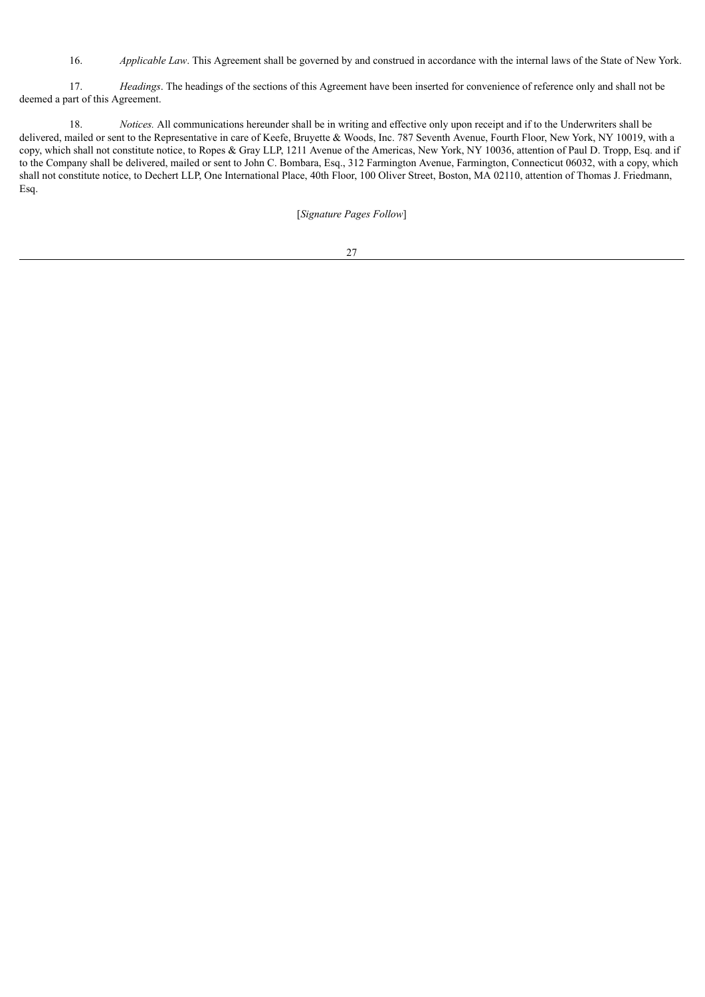16. *Applicable Law*. This Agreement shall be governed by and construed in accordance with the internal laws of the State of New York.

17. *Headings*. The headings of the sections of this Agreement have been inserted for convenience of reference only and shall not be deemed a part of this Agreement.

18. *Notices.* All communications hereunder shall be in writing and effective only upon receipt and if to the Underwriters shall be delivered, mailed or sent to the Representative in care of Keefe, Bruyette & Woods, Inc. 787 Seventh Avenue, Fourth Floor, New York, NY 10019, with a copy, which shall not constitute notice, to Ropes & Gray LLP, 1211 Avenue of the Americas, New York, NY 10036, attention of Paul D. Tropp, Esq. and if to the Company shall be delivered, mailed or sent to John C. Bombara, Esq., 312 Farmington Avenue, Farmington, Connecticut 06032, with a copy, which shall not constitute notice, to Dechert LLP, One International Place, 40th Floor, 100 Oliver Street, Boston, MA 02110, attention of Thomas J. Friedmann, Esq.

[*Signature Pages Follow*]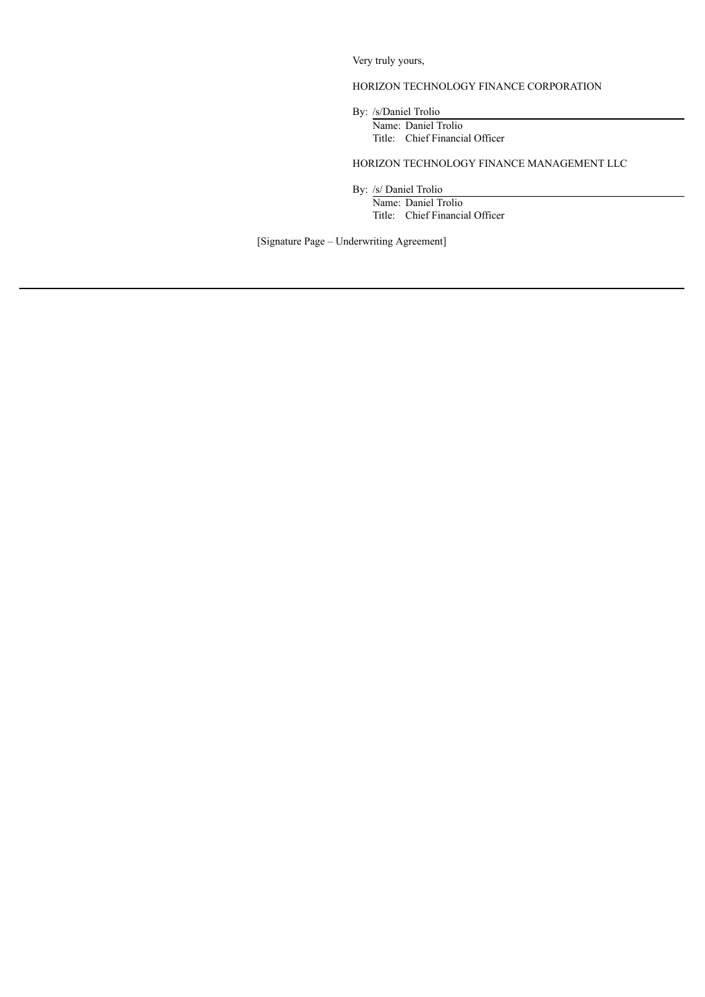Very truly yours,

## HORIZON TECHNOLOGY FINANCE CORPORATION

By: /s/Daniel Trolio

Name: Daniel Trolio Title: Chief Financial Officer

HORIZON TECHNOLOGY FINANCE MANAGEMENT LLC

By: /s/ Daniel Trolio Name: Daniel Trolio Title: Chief Financial Officer

[Signature Page – Underwriting Agreement]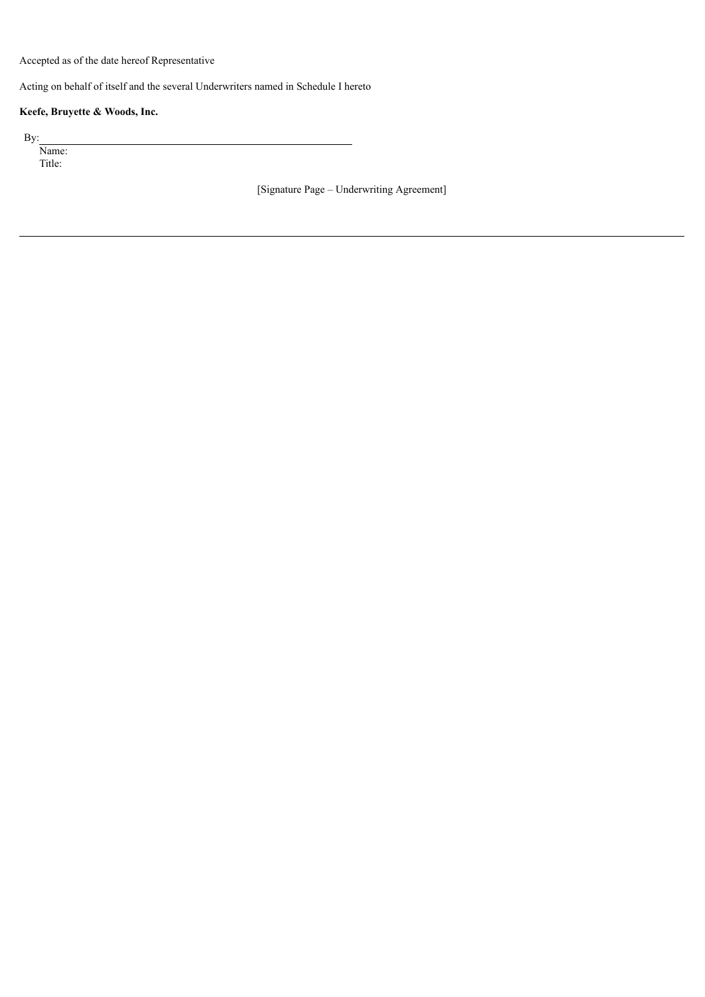Accepted as of the date hereof Representative

Acting on behalf of itself and the several Underwriters named in Schedule I hereto

## **Keefe, Bruyette & Woods, Inc.**

By:

Name: Title:

[Signature Page – Underwriting Agreement]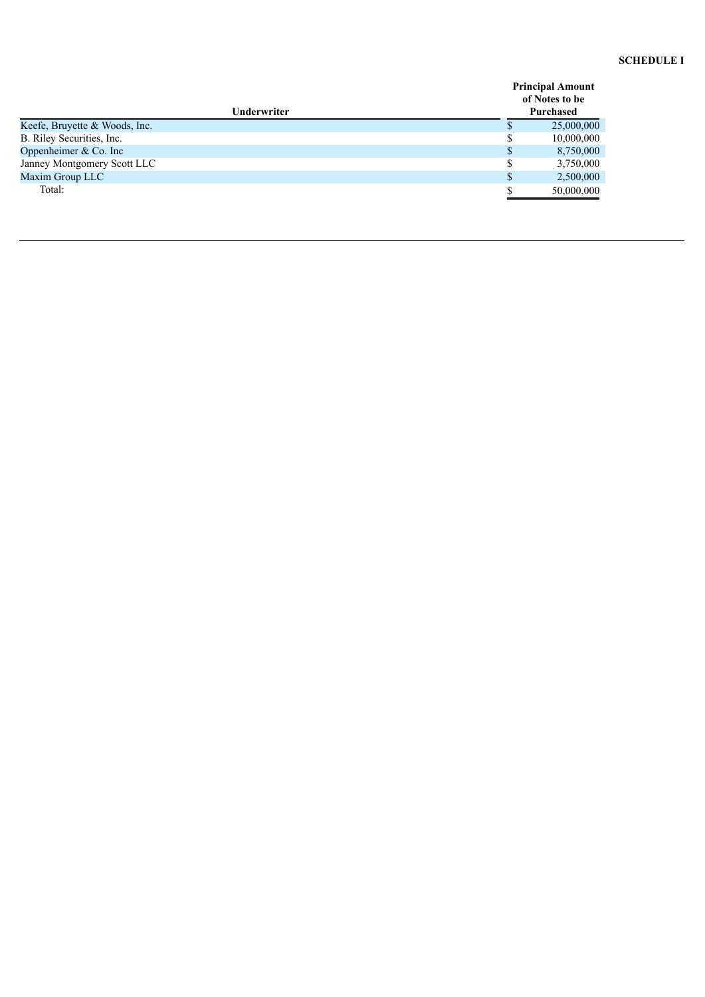#### **SCHEDULE I**

|                               | <b>Principal Amount</b><br>of Notes to be |
|-------------------------------|-------------------------------------------|
| <b>Underwriter</b>            | Purchased                                 |
| Keefe, Bruyette & Woods, Inc. | 25,000,000                                |
| B. Riley Securities, Inc.     | 10,000,000                                |
| Oppenheimer $& Co.$ Inc       | 8,750,000                                 |
| Janney Montgomery Scott LLC   | 3,750,000                                 |
| Maxim Group LLC               | 2,500,000                                 |
| Total:                        | 50,000,000                                |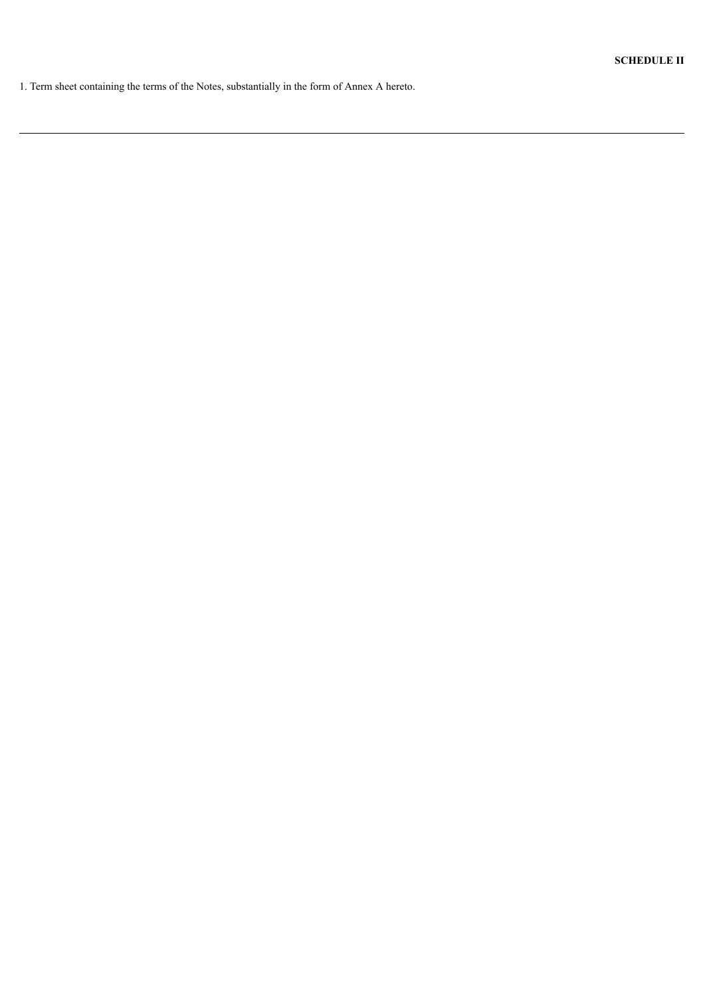1. Term sheet containing the terms of the Notes, substantially in the form of Annex A hereto.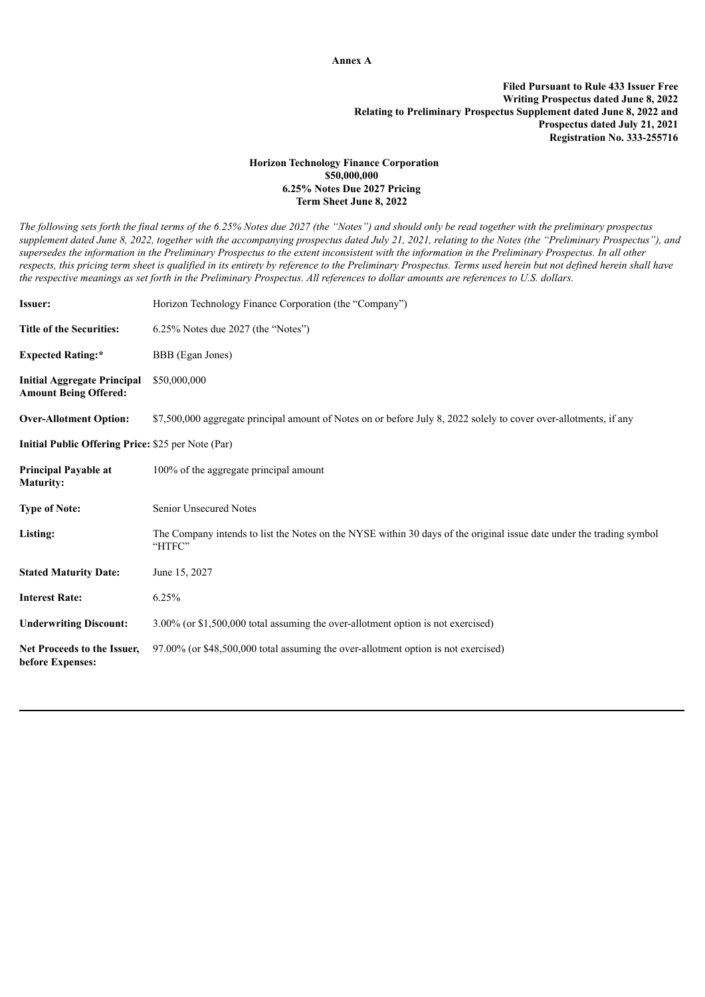**Annex A**

**Filed Pursuant to Rule 433 Issuer Free Writing Prospectus dated June 8, 2022 Relating to Preliminary Prospectus Supplement dated June 8, 2022 and Prospectus dated July 21, 2021 Registration No. 333-255716**

#### **Horizon Technology Finance Corporation \$50,000,000 6.25% Notes Due 2027 Pricing Term Sheet June 8, 2022**

The following sets forth the final terms of the 6.25% Notes due 2027 (the "Notes") and should only be read together with the preliminary prospectus supplement dated June 8, 2022, together with the accompanying prospectus dated July 21, 2021, relating to the Notes (the "Preliminary Prospectus"), and supersedes the information in the Preliminary Prospectus to the extent inconsistent with the information in the Preliminary Prospectus. In all other respects, this pricing term sheet is qualified in its entirety by reference to the Preliminary Prospectus. Terms used herein but not defined herein shall have the respective meanings as set forth in the Preliminary Prospectus. All references to dollar amounts are references to U.S. dollars.

| <b>Issuer:</b>                                                     | Horizon Technology Finance Corporation (the "Company")                                                                         |  |
|--------------------------------------------------------------------|--------------------------------------------------------------------------------------------------------------------------------|--|
| <b>Title of the Securities:</b>                                    | 6.25% Notes due 2027 (the "Notes")                                                                                             |  |
| <b>Expected Rating:*</b>                                           | BBB (Egan Jones)                                                                                                               |  |
| <b>Initial Aggregate Principal</b><br><b>Amount Being Offered:</b> | \$50,000,000                                                                                                                   |  |
| <b>Over-Allotment Option:</b>                                      | \$7,500,000 aggregate principal amount of Notes on or before July 8, 2022 solely to cover over-allotments, if any              |  |
| Initial Public Offering Price: \$25 per Note (Par)                 |                                                                                                                                |  |
| <b>Principal Payable at</b><br><b>Maturity:</b>                    | 100% of the aggregate principal amount                                                                                         |  |
| <b>Type of Note:</b>                                               | <b>Senior Unsecured Notes</b>                                                                                                  |  |
| Listing:                                                           | The Company intends to list the Notes on the NYSE within 30 days of the original issue date under the trading symbol<br>"HTFC" |  |
| <b>Stated Maturity Date:</b>                                       | June 15, 2027                                                                                                                  |  |
| <b>Interest Rate:</b>                                              | 6.25%                                                                                                                          |  |
| <b>Underwriting Discount:</b>                                      | 3.00% (or \$1,500,000 total assuming the over-allotment option is not exercised)                                               |  |
| Net Proceeds to the Issuer,<br>before Expenses:                    | 97.00% (or \$48,500,000 total assuming the over-allotment option is not exercised)                                             |  |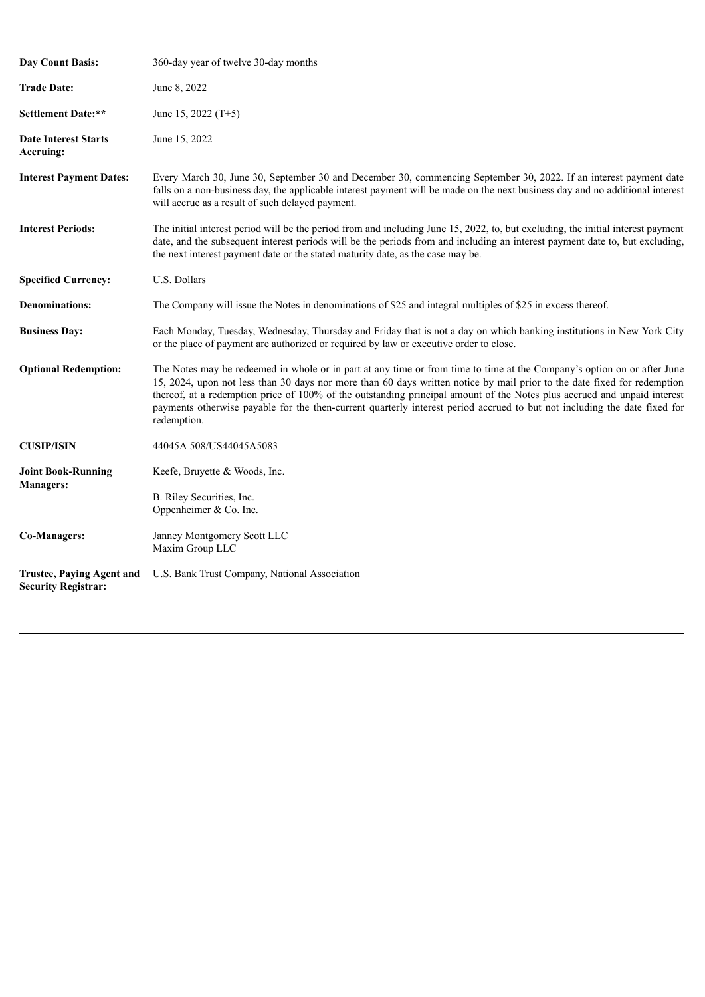| <b>Day Count Basis:</b>                                        | 360-day year of twelve 30-day months                                                                                                                                                                                                                                                                                                                                                                                                                                                                                        |
|----------------------------------------------------------------|-----------------------------------------------------------------------------------------------------------------------------------------------------------------------------------------------------------------------------------------------------------------------------------------------------------------------------------------------------------------------------------------------------------------------------------------------------------------------------------------------------------------------------|
| <b>Trade Date:</b>                                             | June 8, 2022                                                                                                                                                                                                                                                                                                                                                                                                                                                                                                                |
| Settlement Date:**                                             | June 15, 2022 $(T+5)$                                                                                                                                                                                                                                                                                                                                                                                                                                                                                                       |
| <b>Date Interest Starts</b><br>Accruing:                       | June 15, 2022                                                                                                                                                                                                                                                                                                                                                                                                                                                                                                               |
| <b>Interest Payment Dates:</b>                                 | Every March 30, June 30, September 30 and December 30, commencing September 30, 2022. If an interest payment date<br>falls on a non-business day, the applicable interest payment will be made on the next business day and no additional interest<br>will accrue as a result of such delayed payment.                                                                                                                                                                                                                      |
| <b>Interest Periods:</b>                                       | The initial interest period will be the period from and including June 15, 2022, to, but excluding, the initial interest payment<br>date, and the subsequent interest periods will be the periods from and including an interest payment date to, but excluding,<br>the next interest payment date or the stated maturity date, as the case may be.                                                                                                                                                                         |
| <b>Specified Currency:</b>                                     | U.S. Dollars                                                                                                                                                                                                                                                                                                                                                                                                                                                                                                                |
| <b>Denominations:</b>                                          | The Company will issue the Notes in denominations of \$25 and integral multiples of \$25 in excess thereof.                                                                                                                                                                                                                                                                                                                                                                                                                 |
| <b>Business Day:</b>                                           | Each Monday, Tuesday, Wednesday, Thursday and Friday that is not a day on which banking institutions in New York City<br>or the place of payment are authorized or required by law or executive order to close.                                                                                                                                                                                                                                                                                                             |
| <b>Optional Redemption:</b>                                    | The Notes may be redeemed in whole or in part at any time or from time to time at the Company's option on or after June<br>15, 2024, upon not less than 30 days nor more than 60 days written notice by mail prior to the date fixed for redemption<br>thereof, at a redemption price of 100% of the outstanding principal amount of the Notes plus accrued and unpaid interest<br>payments otherwise payable for the then-current quarterly interest period accrued to but not including the date fixed for<br>redemption. |
| <b>CUSIP/ISIN</b>                                              | 44045A 508/US44045A5083                                                                                                                                                                                                                                                                                                                                                                                                                                                                                                     |
| <b>Joint Book-Running</b><br><b>Managers:</b>                  | Keefe, Bruyette & Woods, Inc.<br>B. Riley Securities, Inc.<br>Oppenheimer & Co. Inc.                                                                                                                                                                                                                                                                                                                                                                                                                                        |
| <b>Co-Managers:</b>                                            | Janney Montgomery Scott LLC<br>Maxim Group LLC                                                                                                                                                                                                                                                                                                                                                                                                                                                                              |
| <b>Trustee, Paying Agent and</b><br><b>Security Registrar:</b> | U.S. Bank Trust Company, National Association                                                                                                                                                                                                                                                                                                                                                                                                                                                                               |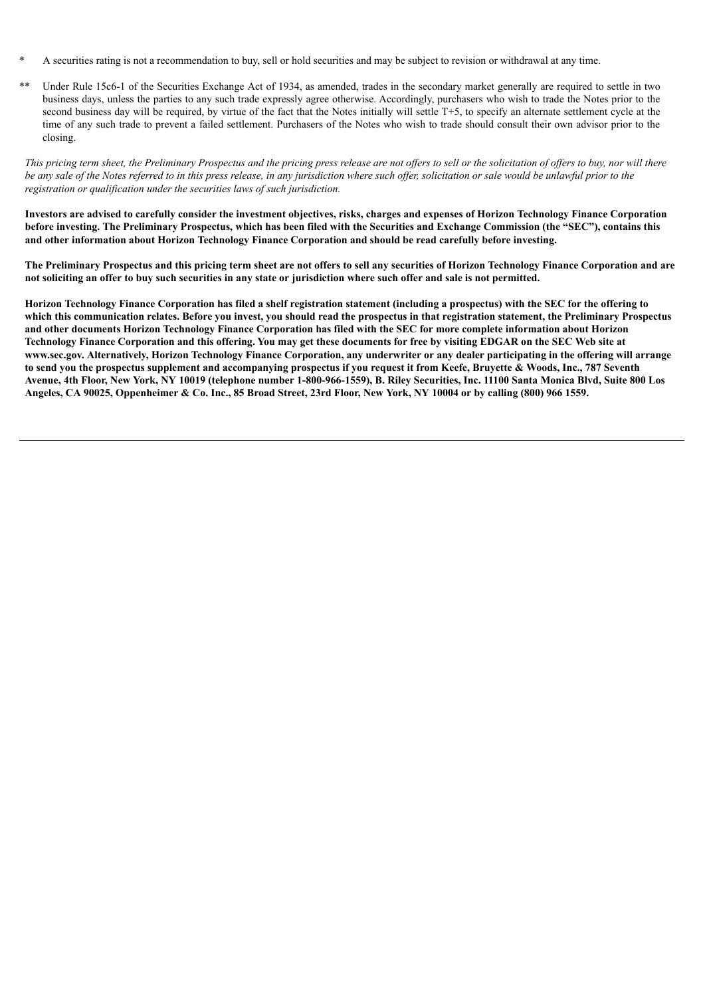- A securities rating is not a recommendation to buy, sell or hold securities and may be subject to revision or withdrawal at any time.
- Under Rule 15c6-1 of the Securities Exchange Act of 1934, as amended, trades in the secondary market generally are required to settle in two business days, unless the parties to any such trade expressly agree otherwise. Accordingly, purchasers who wish to trade the Notes prior to the second business day will be required, by virtue of the fact that the Notes initially will settle T+5, to specify an alternate settlement cycle at the time of any such trade to prevent a failed settlement. Purchasers of the Notes who wish to trade should consult their own advisor prior to the closing.

This pricing term sheet, the Preliminary Prospectus and the pricing press release are not offers to sell or the solicitation of offers to buy, nor will there be any sale of the Notes referred to in this press release, in any jurisdiction where such offer, solicitation or sale would be unlawful prior to the *registration or qualification under the securities laws of such jurisdiction.*

Investors are advised to carefully consider the investment objectives, risks, charges and expenses of Horizon Technology Finance Corporation before investing. The Preliminary Prospectus, which has been filed with the Securities and Exchange Commission (the "SEC"), contains this **and other information about Horizon Technology Finance Corporation and should be read carefully before investing.**

The Preliminary Prospectus and this pricing term sheet are not offers to sell any securities of Horizon Technology Finance Corporation and are not soliciting an offer to buy such securities in any state or jurisdiction where such offer and sale is not permitted.

Horizon Technology Finance Corporation has filed a shelf registration statement (including a prospectus) with the SEC for the offering to which this communication relates. Before you invest, you should read the prospectus in that registration statement, the Preliminary Prospectus and other documents Horizon Technology Finance Corporation has filed with the SEC for more complete information about Horizon Technology Finance Corporation and this offering. You may get these documents for free by visiting EDGAR on the SEC Web site at www.sec.gov. Alternatively, Horizon Technology Finance Corporation, any underwriter or any dealer participating in the offering will arrange to send you the prospectus supplement and accompanying prospectus if you request it from Keefe, Bruyette & Woods, Inc., 787 Seventh Avenue, 4th Floor, New York, NY 10019 (telephone number 1-800-966-1559), B. Riley Securities, Inc. 11100 Santa Monica Blvd, Suite 800 Los Angeles, CA 90025, Oppenheimer & Co. Inc., 85 Broad Street, 23rd Floor, New York, NY 10004 or by calling (800) 966 1559.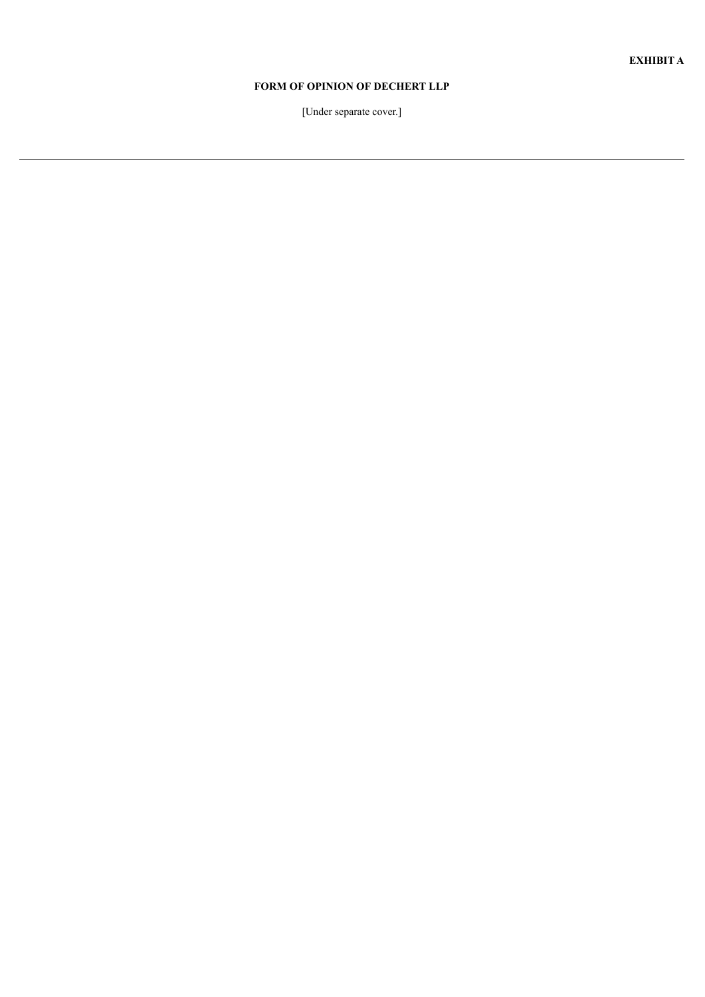# **FORM OF OPINION OF DECHERT LLP**

[Under separate cover.]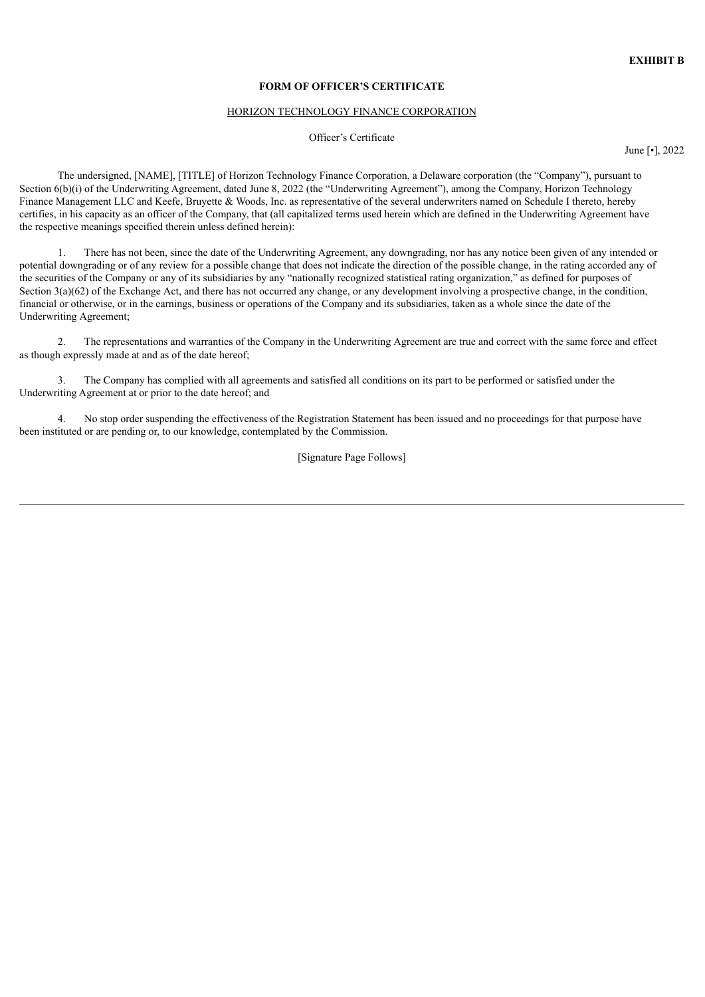#### **FORM OF OFFICER'S CERTIFICATE**

#### HORIZON TECHNOLOGY FINANCE CORPORATION

## Officer's Certificate

June [•], 2022

The undersigned, [NAME], [TITLE] of Horizon Technology Finance Corporation, a Delaware corporation (the "Company"), pursuant to Section 6(b)(i) of the Underwriting Agreement, dated June 8, 2022 (the "Underwriting Agreement"), among the Company, Horizon Technology Finance Management LLC and Keefe, Bruyette & Woods, Inc. as representative of the several underwriters named on Schedule I thereto, hereby certifies, in his capacity as an officer of the Company, that (all capitalized terms used herein which are defined in the Underwriting Agreement have the respective meanings specified therein unless defined herein):

1. There has not been, since the date of the Underwriting Agreement, any downgrading, nor has any notice been given of any intended or potential downgrading or of any review for a possible change that does not indicate the direction of the possible change, in the rating accorded any of the securities of the Company or any of its subsidiaries by any "nationally recognized statistical rating organization," as defined for purposes of Section 3(a)(62) of the Exchange Act, and there has not occurred any change, or any development involving a prospective change, in the condition, financial or otherwise, or in the earnings, business or operations of the Company and its subsidiaries, taken as a whole since the date of the Underwriting Agreement;

2. The representations and warranties of the Company in the Underwriting Agreement are true and correct with the same force and effect as though expressly made at and as of the date hereof;

3. The Company has complied with all agreements and satisfied all conditions on its part to be performed or satisfied under the Underwriting Agreement at or prior to the date hereof; and

4. No stop order suspending the effectiveness of the Registration Statement has been issued and no proceedings for that purpose have been instituted or are pending or, to our knowledge, contemplated by the Commission.

[Signature Page Follows]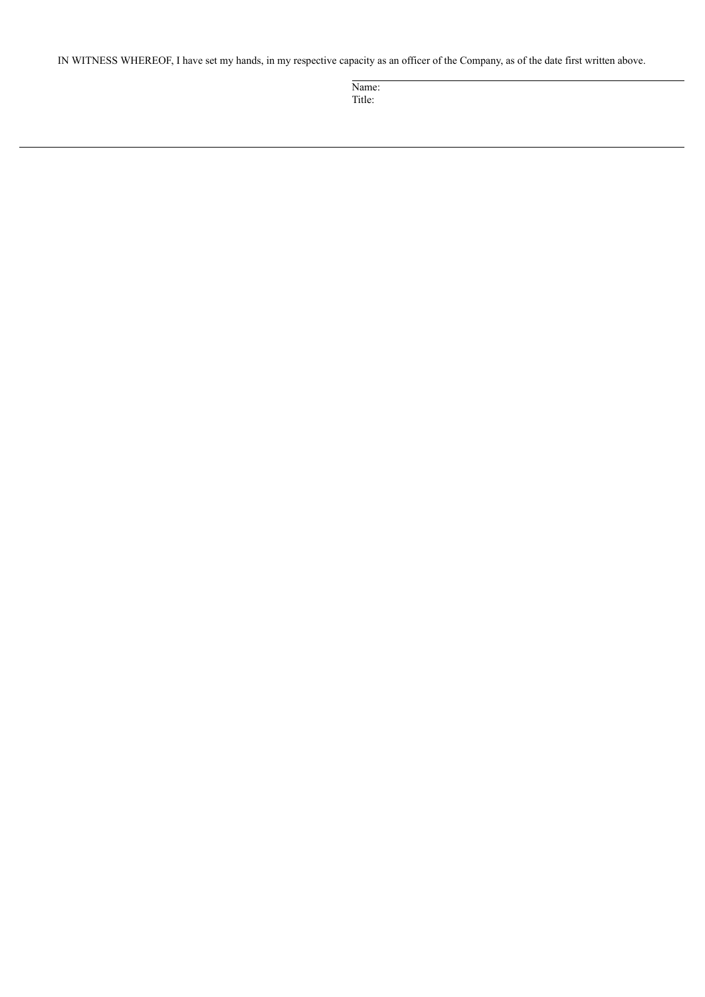IN WITNESS WHEREOF, I have set my hands, in my respective capacity as an officer of the Company, as of the date first written above.

Name: Title: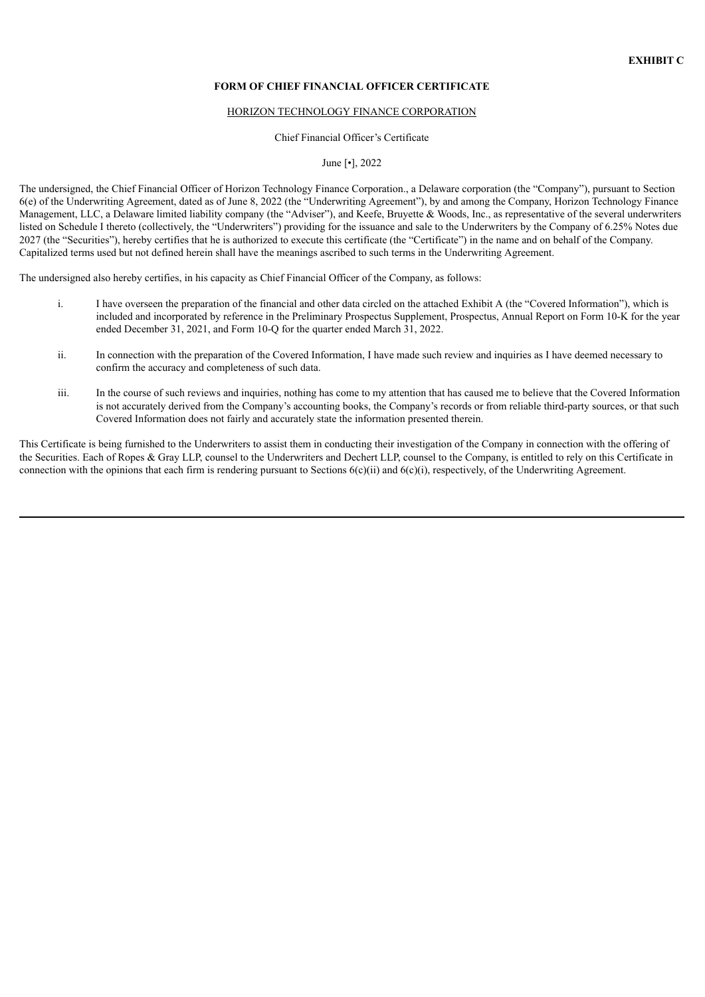#### **FORM OF CHIEF FINANCIAL OFFICER CERTIFICATE**

#### HORIZON TECHNOLOGY FINANCE CORPORATION

#### Chief Financial Officer's Certificate

## June [•], 2022

The undersigned, the Chief Financial Officer of Horizon Technology Finance Corporation., a Delaware corporation (the "Company"), pursuant to Section 6(e) of the Underwriting Agreement, dated as of June 8, 2022 (the "Underwriting Agreement"), by and among the Company, Horizon Technology Finance Management, LLC, a Delaware limited liability company (the "Adviser"), and Keefe, Bruyette & Woods, Inc., as representative of the several underwriters listed on Schedule I thereto (collectively, the "Underwriters") providing for the issuance and sale to the Underwriters by the Company of 6.25% Notes due 2027 (the "Securities"), hereby certifies that he is authorized to execute this certificate (the "Certificate") in the name and on behalf of the Company. Capitalized terms used but not defined herein shall have the meanings ascribed to such terms in the Underwriting Agreement.

The undersigned also hereby certifies, in his capacity as Chief Financial Officer of the Company, as follows:

- i. I have overseen the preparation of the financial and other data circled on the attached Exhibit A (the "Covered Information"), which is included and incorporated by reference in the Preliminary Prospectus Supplement, Prospectus, Annual Report on Form 10-K for the year ended December 31, 2021, and Form 10-Q for the quarter ended March 31, 2022.
- ii. In connection with the preparation of the Covered Information, I have made such review and inquiries as I have deemed necessary to confirm the accuracy and completeness of such data.
- iii. In the course of such reviews and inquiries, nothing has come to my attention that has caused me to believe that the Covered Information is not accurately derived from the Company's accounting books, the Company's records or from reliable third-party sources, or that such Covered Information does not fairly and accurately state the information presented therein.

This Certificate is being furnished to the Underwriters to assist them in conducting their investigation of the Company in connection with the offering of the Securities. Each of Ropes & Gray LLP, counsel to the Underwriters and Dechert LLP, counsel to the Company, is entitled to rely on this Certificate in connection with the opinions that each firm is rendering pursuant to Sections  $6(c)(ii)$  and  $6(c)(i)$ , respectively, of the Underwriting Agreement.